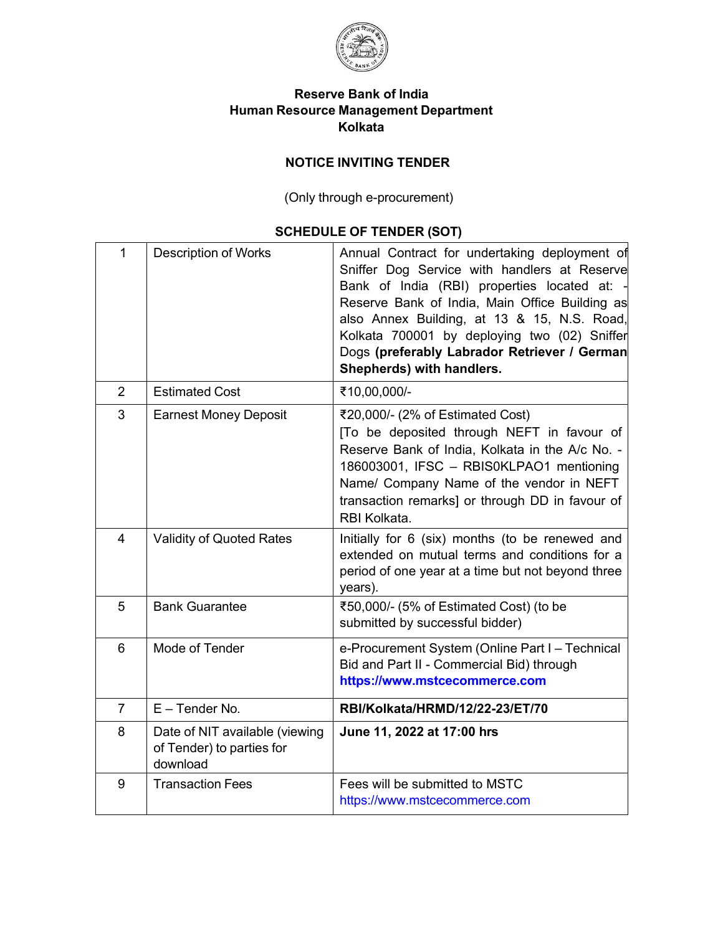

## **Reserve Bank of India Human Resource Management Department Kolkata**

# **NOTICE INVITING TENDER**

(Only through e-procurement)

# **SCHEDULE OF TENDER (SOT)**

| 1              | <b>Description of Works</b>                                             | Annual Contract for undertaking deployment of<br>Sniffer Dog Service with handlers at Reserve<br>Bank of India (RBI) properties located at:<br>Reserve Bank of India, Main Office Building as<br>also Annex Building, at 13 & 15, N.S. Road,<br>Kolkata 700001 by deploying two (02) Sniffer<br>Dogs (preferably Labrador Retriever / German<br>Shepherds) with handlers. |
|----------------|-------------------------------------------------------------------------|---------------------------------------------------------------------------------------------------------------------------------------------------------------------------------------------------------------------------------------------------------------------------------------------------------------------------------------------------------------------------|
| $\overline{2}$ | <b>Estimated Cost</b>                                                   | ₹10,00,000/-                                                                                                                                                                                                                                                                                                                                                              |
| 3              | <b>Earnest Money Deposit</b>                                            | ₹20,000/- (2% of Estimated Cost)<br>[To be deposited through NEFT in favour of<br>Reserve Bank of India, Kolkata in the A/c No. -<br>186003001, IFSC - RBIS0KLPAO1 mentioning<br>Name/ Company Name of the vendor in NEFT<br>transaction remarks] or through DD in favour of<br>RBI Kolkata.                                                                              |
| $\overline{4}$ | Validity of Quoted Rates                                                | Initially for 6 (six) months (to be renewed and<br>extended on mutual terms and conditions for a<br>period of one year at a time but not beyond three<br>years).                                                                                                                                                                                                          |
| 5              | <b>Bank Guarantee</b>                                                   | ₹50,000/- (5% of Estimated Cost) (to be<br>submitted by successful bidder)                                                                                                                                                                                                                                                                                                |
| 6              | Mode of Tender                                                          | e-Procurement System (Online Part I - Technical<br>Bid and Part II - Commercial Bid) through<br>https://www.mstcecommerce.com                                                                                                                                                                                                                                             |
| $\overline{7}$ | $E - T$ ender No.                                                       | RBI/Kolkata/HRMD/12/22-23/ET/70                                                                                                                                                                                                                                                                                                                                           |
| 8              | Date of NIT available (viewing<br>of Tender) to parties for<br>download | June 11, 2022 at 17:00 hrs                                                                                                                                                                                                                                                                                                                                                |
| 9              | <b>Transaction Fees</b>                                                 | Fees will be submitted to MSTC<br>https://www.mstcecommerce.com                                                                                                                                                                                                                                                                                                           |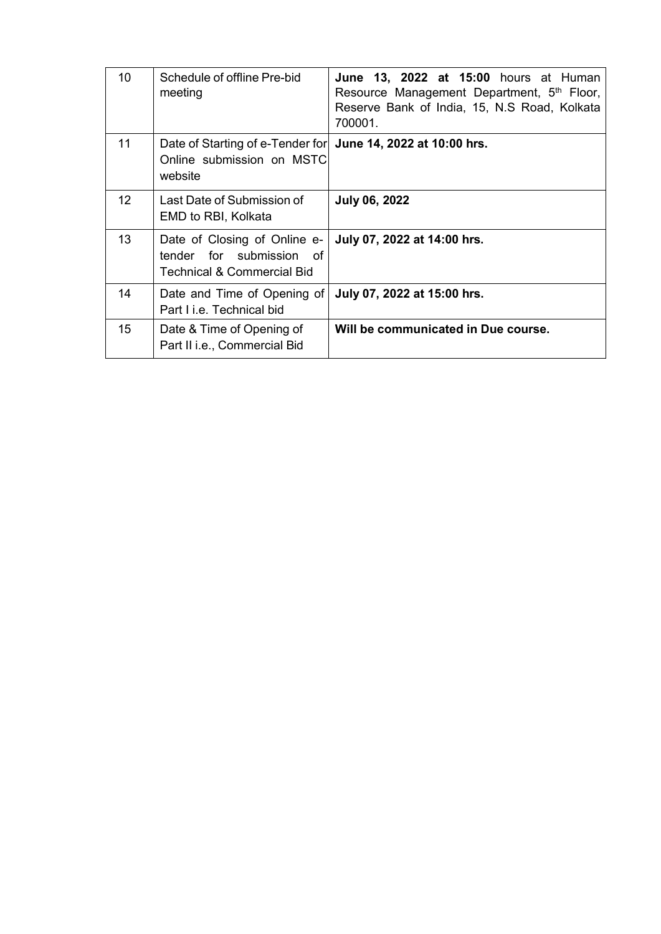| 10              | Schedule of offline Pre-bid<br>meeting                                                               | <b>June 13, 2022 at 15:00</b> hours at Human<br>Resource Management Department, 5th Floor,<br>Reserve Bank of India, 15, N.S Road, Kolkata<br>700001. |
|-----------------|------------------------------------------------------------------------------------------------------|-------------------------------------------------------------------------------------------------------------------------------------------------------|
| 11              | Date of Starting of e-Tender for June 14, 2022 at 10:00 hrs.<br>Online submission on MSTC<br>website |                                                                                                                                                       |
| 12 <sup>2</sup> | Last Date of Submission of<br>EMD to RBI, Kolkata                                                    | <b>July 06, 2022</b>                                                                                                                                  |
| 13              | Date of Closing of Online e-<br>tender for submission of<br>Technical & Commercial Bid               | July 07, 2022 at 14:00 hrs.                                                                                                                           |
| 14              | Date and Time of Opening of<br>Part Li.e. Technical bid                                              | July 07, 2022 at 15:00 hrs.                                                                                                                           |
| 15              | Date & Time of Opening of<br>Part II i.e., Commercial Bid                                            | Will be communicated in Due course.                                                                                                                   |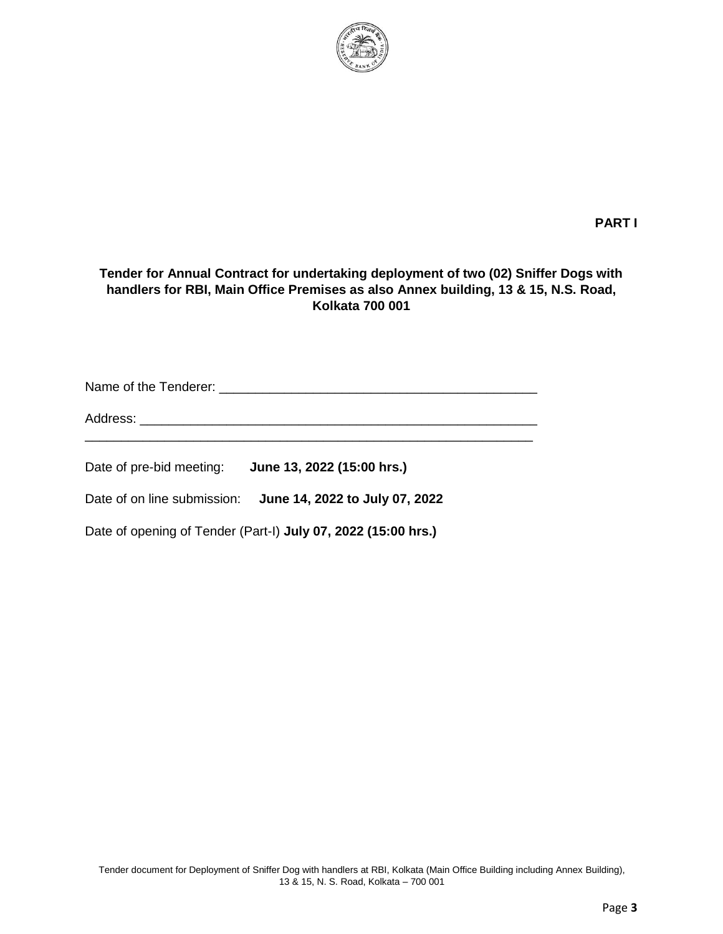

### **PART I**

#### **Tender for Annual Contract for undertaking deployment of two (02) Sniffer Dogs with handlers for RBI, Main Office Premises as also Annex building, 13 & 15, N.S. Road, Kolkata 700 001**

Name of the Tenderer: \_\_\_\_\_\_\_\_\_\_\_\_\_\_\_\_\_\_\_\_\_\_\_\_\_\_\_\_\_\_\_\_\_\_\_\_\_\_\_\_\_\_\_\_

Address: \_\_\_\_\_\_\_\_\_\_\_\_\_\_\_\_\_\_\_\_\_\_\_\_\_\_\_\_\_\_\_\_\_\_\_\_\_\_\_\_\_\_\_\_\_\_\_\_\_\_\_\_\_\_\_

Date of pre-bid meeting: **June 13, 2022 (15:00 hrs.)**

Date of on line submission: **June 14, 2022 to July 07, 2022**

Date of opening of Tender (Part-I) **July 07, 2022 (15:00 hrs.)**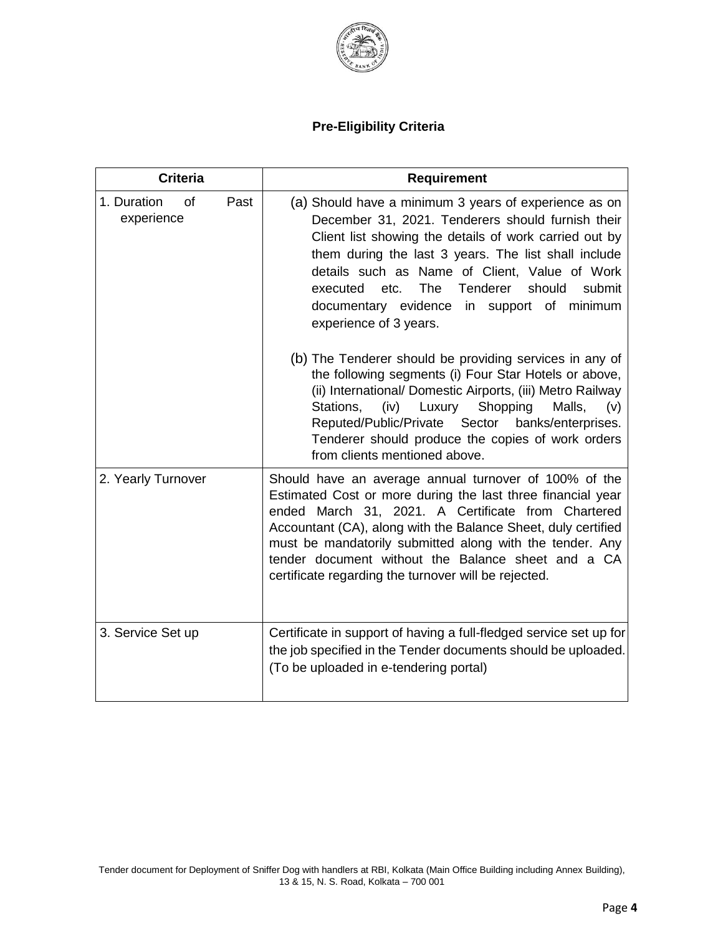

# **Pre-Eligibility Criteria**

| <b>Criteria</b>                         | <b>Requirement</b>                                                                                                                                                                                                                                                                                                                                                                                                                                                                                                                                                                                                                                                                                                        |
|-----------------------------------------|---------------------------------------------------------------------------------------------------------------------------------------------------------------------------------------------------------------------------------------------------------------------------------------------------------------------------------------------------------------------------------------------------------------------------------------------------------------------------------------------------------------------------------------------------------------------------------------------------------------------------------------------------------------------------------------------------------------------------|
| 1. Duration<br>of<br>Past<br>experience | (a) Should have a minimum 3 years of experience as on<br>December 31, 2021. Tenderers should furnish their<br>Client list showing the details of work carried out by<br>them during the last 3 years. The list shall include<br>details such as Name of Client, Value of Work<br><b>The</b><br>Tenderer<br>should<br>etc.<br>submit<br>executed<br>documentary evidence in support of minimum<br>experience of 3 years.<br>(b) The Tenderer should be providing services in any of<br>the following segments (i) Four Star Hotels or above,<br>(ii) International/ Domestic Airports, (iii) Metro Railway<br>Shopping<br>(iv) Luxury<br>Malls,<br>Stations,<br>(v)<br>Reputed/Public/Private Sector<br>banks/enterprises. |
| 2. Yearly Turnover                      | Tenderer should produce the copies of work orders<br>from clients mentioned above.<br>Should have an average annual turnover of 100% of the<br>Estimated Cost or more during the last three financial year<br>ended March 31, 2021. A Certificate from Chartered<br>Accountant (CA), along with the Balance Sheet, duly certified<br>must be mandatorily submitted along with the tender. Any<br>tender document without the Balance sheet and a CA<br>certificate regarding the turnover will be rejected.                                                                                                                                                                                                               |
| 3. Service Set up                       | Certificate in support of having a full-fledged service set up for<br>the job specified in the Tender documents should be uploaded.<br>(To be uploaded in e-tendering portal)                                                                                                                                                                                                                                                                                                                                                                                                                                                                                                                                             |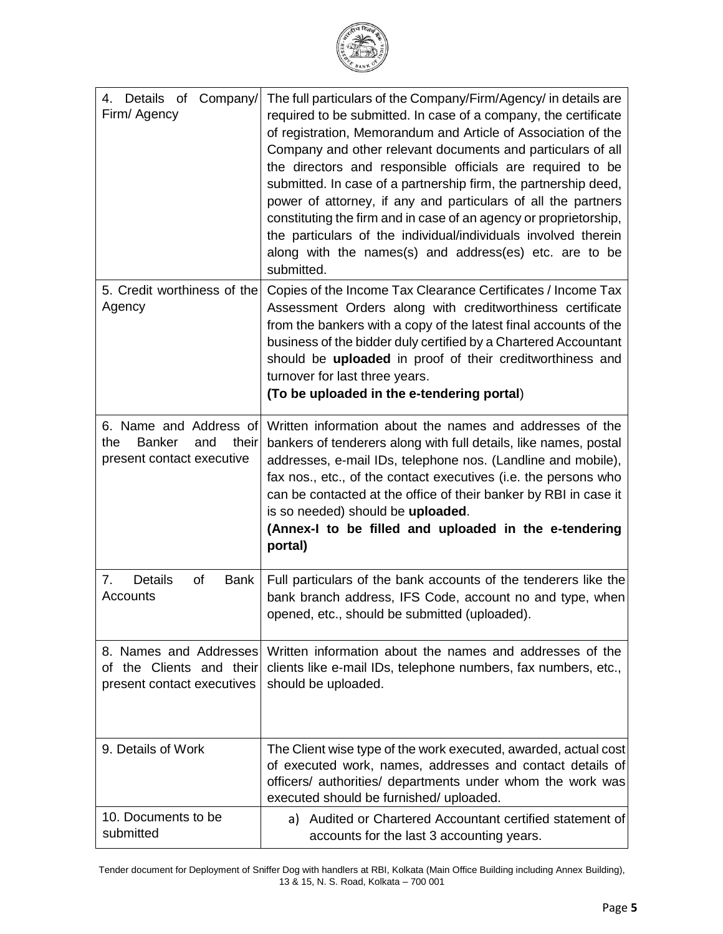

| 4. Details of Company/<br>Firm/ Agency                                                      | The full particulars of the Company/Firm/Agency/ in details are<br>required to be submitted. In case of a company, the certificate<br>of registration, Memorandum and Article of Association of the<br>Company and other relevant documents and particulars of all<br>the directors and responsible officials are required to be<br>submitted. In case of a partnership firm, the partnership deed,<br>power of attorney, if any and particulars of all the partners<br>constituting the firm and in case of an agency or proprietorship,<br>the particulars of the individual/individuals involved therein<br>along with the names(s) and address(es) etc. are to be<br>submitted. |
|---------------------------------------------------------------------------------------------|-------------------------------------------------------------------------------------------------------------------------------------------------------------------------------------------------------------------------------------------------------------------------------------------------------------------------------------------------------------------------------------------------------------------------------------------------------------------------------------------------------------------------------------------------------------------------------------------------------------------------------------------------------------------------------------|
| 5. Credit worthiness of the<br>Agency                                                       | Copies of the Income Tax Clearance Certificates / Income Tax<br>Assessment Orders along with creditworthiness certificate<br>from the bankers with a copy of the latest final accounts of the<br>business of the bidder duly certified by a Chartered Accountant<br>should be uploaded in proof of their creditworthiness and<br>turnover for last three years.<br>(To be uploaded in the e-tendering portal)                                                                                                                                                                                                                                                                       |
| 6. Name and Address of<br><b>Banker</b><br>their<br>the<br>and<br>present contact executive | Written information about the names and addresses of the<br>bankers of tenderers along with full details, like names, postal<br>addresses, e-mail IDs, telephone nos. (Landline and mobile),<br>fax nos., etc., of the contact executives (i.e. the persons who<br>can be contacted at the office of their banker by RBI in case it<br>is so needed) should be uploaded.<br>(Annex-I to be filled and uploaded in the e-tendering<br>portal)                                                                                                                                                                                                                                        |
| Details<br>7.<br>of<br>Bank<br>Accounts                                                     | Full particulars of the bank accounts of the tenderers like the<br>bank branch address, IFS Code, account no and type, when<br>opened, etc., should be submitted (uploaded).                                                                                                                                                                                                                                                                                                                                                                                                                                                                                                        |
| 8. Names and Addresses<br>of the Clients and their<br>present contact executives            | Written information about the names and addresses of the<br>clients like e-mail IDs, telephone numbers, fax numbers, etc.,<br>should be uploaded.                                                                                                                                                                                                                                                                                                                                                                                                                                                                                                                                   |
| 9. Details of Work                                                                          | The Client wise type of the work executed, awarded, actual cost<br>of executed work, names, addresses and contact details of<br>officers/ authorities/ departments under whom the work was<br>executed should be furnished/ uploaded.                                                                                                                                                                                                                                                                                                                                                                                                                                               |
| 10. Documents to be<br>submitted                                                            | Audited or Chartered Accountant certified statement of<br>a)<br>accounts for the last 3 accounting years.                                                                                                                                                                                                                                                                                                                                                                                                                                                                                                                                                                           |

Tender document for Deployment of Sniffer Dog with handlers at RBI, Kolkata (Main Office Building including Annex Building), 13 & 15, N. S. Road, Kolkata – 700 001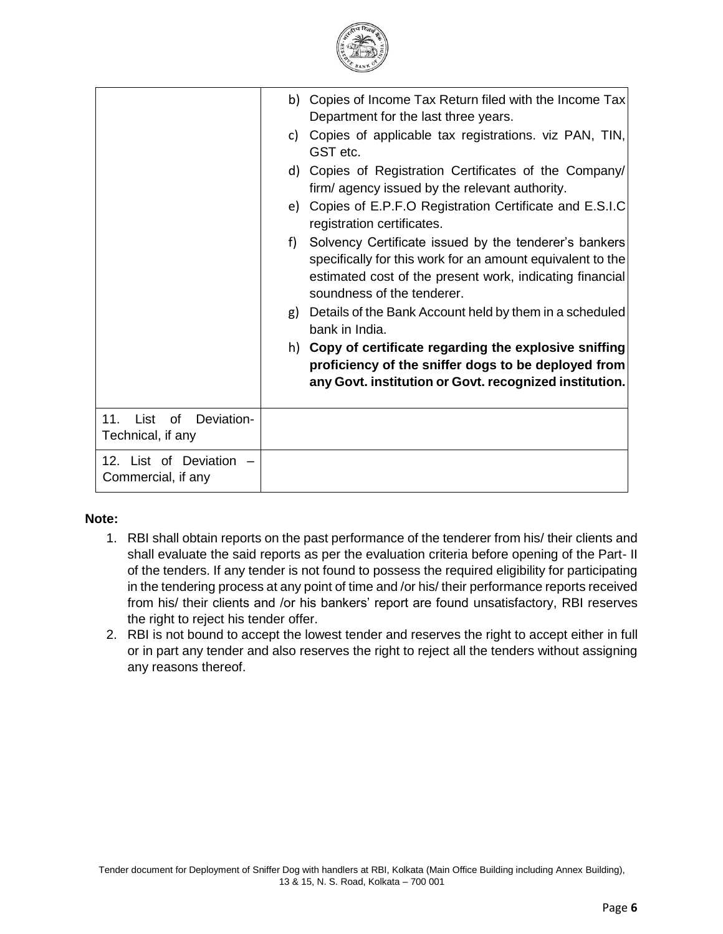

| List<br>11 <sub>1</sub><br>0f<br>Deviation-<br>Technical, if any | specifically for this work for an amount equivalent to the<br>estimated cost of the present work, indicating financial<br>soundness of the tenderer.<br>Details of the Bank Account held by them in a scheduled<br>g)<br>bank in India.<br>h) Copy of certificate regarding the explosive sniffing<br>proficiency of the sniffer dogs to be deployed from<br>any Govt. institution or Govt. recognized institution.                              |
|------------------------------------------------------------------|--------------------------------------------------------------------------------------------------------------------------------------------------------------------------------------------------------------------------------------------------------------------------------------------------------------------------------------------------------------------------------------------------------------------------------------------------|
|                                                                  | b) Copies of Income Tax Return filed with the Income Tax<br>Department for the last three years.<br>Copies of applicable tax registrations. viz PAN, TIN,<br>C)<br>GST etc.<br>d) Copies of Registration Certificates of the Company/<br>firm/agency issued by the relevant authority.<br>e) Copies of E.P.F.O Registration Certificate and E.S.I.C<br>registration certificates.<br>Solvency Certificate issued by the tenderer's bankers<br>f) |

#### **Note:**

- 1. RBI shall obtain reports on the past performance of the tenderer from his/ their clients and shall evaluate the said reports as per the evaluation criteria before opening of the Part- II of the tenders. If any tender is not found to possess the required eligibility for participating in the tendering process at any point of time and /or his/ their performance reports received from his/ their clients and /or his bankers' report are found unsatisfactory, RBI reserves the right to reject his tender offer.
- 2. RBI is not bound to accept the lowest tender and reserves the right to accept either in full or in part any tender and also reserves the right to reject all the tenders without assigning any reasons thereof.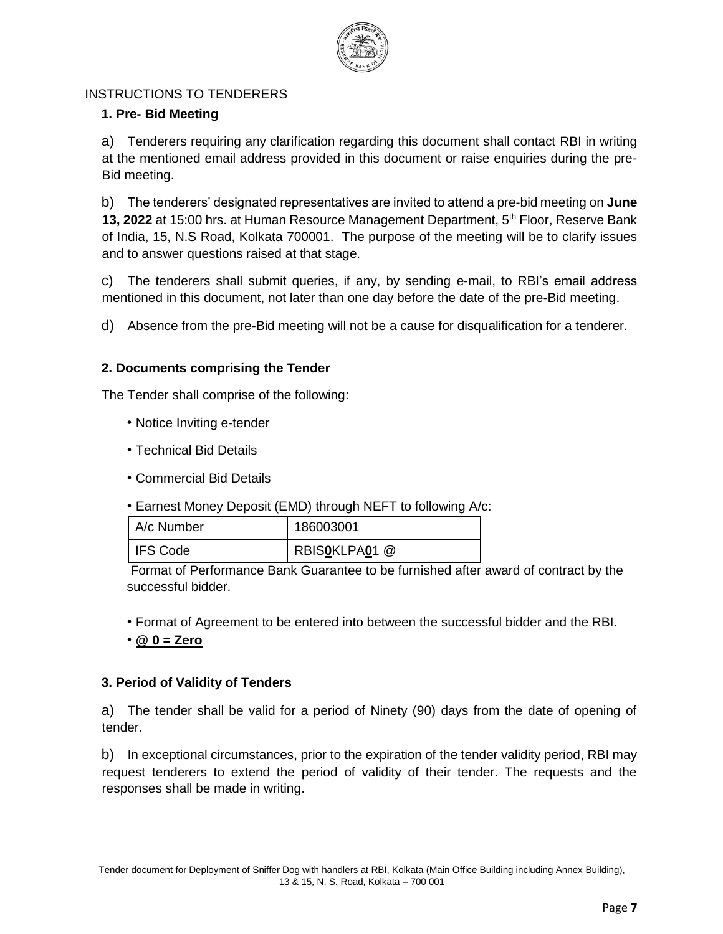

### INSTRUCTIONS TO TENDERERS

## **1. Pre- Bid Meeting**

a) Tenderers requiring any clarification regarding this document shall contact RBI in writing at the mentioned email address provided in this document or raise enquiries during the pre-Bid meeting.

b) The tenderers' designated representatives are invited to attend a pre-bid meeting on **June 13, 2022** at 15:00 hrs. at Human Resource Management Department, 5<sup>th</sup> Floor, Reserve Bank of India, 15, N.S Road, Kolkata 700001. The purpose of the meeting will be to clarify issues and to answer questions raised at that stage.

c) The tenderers shall submit queries, if any, by sending e-mail, to RBI's email address mentioned in this document, not later than one day before the date of the pre-Bid meeting.

d) Absence from the pre-Bid meeting will not be a cause for disqualification for a tenderer.

## **2. Documents comprising the Tender**

The Tender shall comprise of the following:

- Notice Inviting e-tender
- Technical Bid Details
- Commercial Bid Details
- Earnest Money Deposit (EMD) through NEFT to following A/c:

| A/c Number | 186003001     |
|------------|---------------|
| I IFS Code | RBISOKLPAO1 @ |

Format of Performance Bank Guarantee to be furnished after award of contract by the successful bidder.

- Format of Agreement to be entered into between the successful bidder and the RBI.
- **@ 0 = Zero**

## **3. Period of Validity of Tenders**

a) The tender shall be valid for a period of Ninety (90) days from the date of opening of tender.

b) In exceptional circumstances, prior to the expiration of the tender validity period, RBI may request tenderers to extend the period of validity of their tender. The requests and the responses shall be made in writing.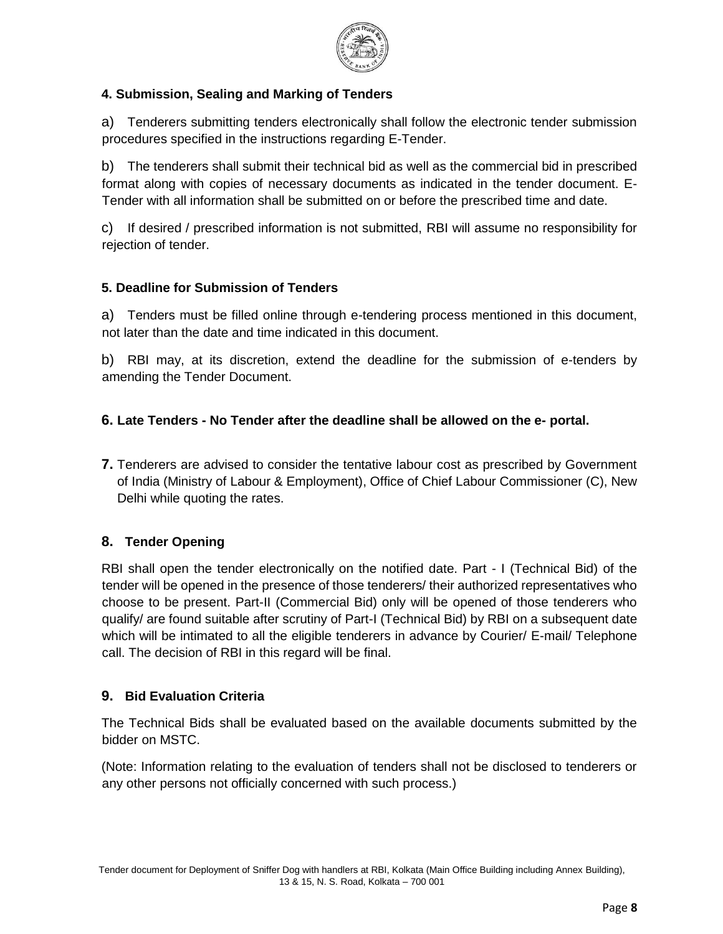

## **4. Submission, Sealing and Marking of Tenders**

a) Tenderers submitting tenders electronically shall follow the electronic tender submission procedures specified in the instructions regarding E-Tender.

b) The tenderers shall submit their technical bid as well as the commercial bid in prescribed format along with copies of necessary documents as indicated in the tender document. E-Tender with all information shall be submitted on or before the prescribed time and date.

c) If desired / prescribed information is not submitted, RBI will assume no responsibility for rejection of tender.

## **5. Deadline for Submission of Tenders**

a) Tenders must be filled online through e-tendering process mentioned in this document, not later than the date and time indicated in this document.

b) RBI may, at its discretion, extend the deadline for the submission of e-tenders by amending the Tender Document.

## **6. Late Tenders - No Tender after the deadline shall be allowed on the e- portal.**

**7.** Tenderers are advised to consider the tentative labour cost as prescribed by Government of India (Ministry of Labour & Employment), Office of Chief Labour Commissioner (C), New Delhi while quoting the rates.

## **8. Tender Opening**

RBI shall open the tender electronically on the notified date. Part - I (Technical Bid) of the tender will be opened in the presence of those tenderers/ their authorized representatives who choose to be present. Part-II (Commercial Bid) only will be opened of those tenderers who qualify/ are found suitable after scrutiny of Part-I (Technical Bid) by RBI on a subsequent date which will be intimated to all the eligible tenderers in advance by Courier/ E-mail/ Telephone call. The decision of RBI in this regard will be final.

## **9. Bid Evaluation Criteria**

The Technical Bids shall be evaluated based on the available documents submitted by the bidder on MSTC.

(Note: Information relating to the evaluation of tenders shall not be disclosed to tenderers or any other persons not officially concerned with such process.)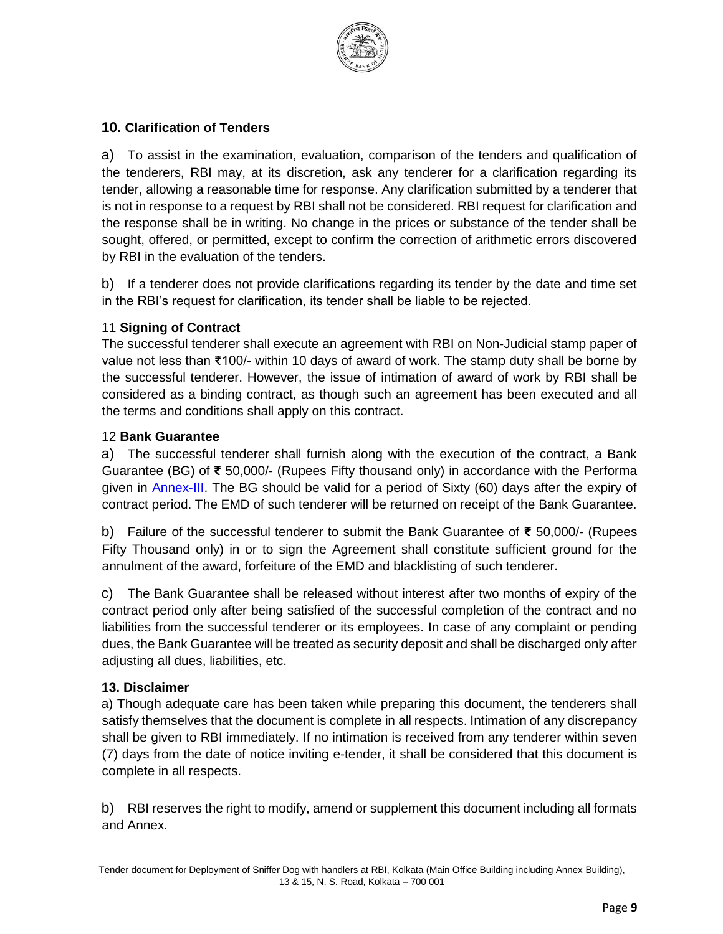

### **10. Clarification of Tenders**

a) To assist in the examination, evaluation, comparison of the tenders and qualification of the tenderers, RBI may, at its discretion, ask any tenderer for a clarification regarding its tender, allowing a reasonable time for response. Any clarification submitted by a tenderer that is not in response to a request by RBI shall not be considered. RBI request for clarification and the response shall be in writing. No change in the prices or substance of the tender shall be sought, offered, or permitted, except to confirm the correction of arithmetic errors discovered by RBI in the evaluation of the tenders.

b) If a tenderer does not provide clarifications regarding its tender by the date and time set in the RBI's request for clarification, its tender shall be liable to be rejected.

#### 11 **Signing of Contract**

The successful tenderer shall execute an agreement with RBI on Non-Judicial stamp paper of value not less than ₹100/- within 10 days of award of work. The stamp duty shall be borne by the successful tenderer. However, the issue of intimation of award of work by RBI shall be considered as a binding contract, as though such an agreement has been executed and all the terms and conditions shall apply on this contract.

#### 12 **Bank Guarantee**

a) The successful tenderer shall furnish along with the execution of the contract, a Bank Guarantee (BG) of **₹** 50,000/- (Rupees Fifty thousand only) in accordance with the Performa given in Annex-III. The BG should be valid for a period of Sixty (60) days after the expiry of contract period. The EMD of such tenderer will be returned on receipt of the Bank Guarantee.

b) Failure of the successful tenderer to submit the Bank Guarantee of **₹** 50,000/- (Rupees Fifty Thousand only) in or to sign the Agreement shall constitute sufficient ground for the annulment of the award, forfeiture of the EMD and blacklisting of such tenderer.

c) The Bank Guarantee shall be released without interest after two months of expiry of the contract period only after being satisfied of the successful completion of the contract and no liabilities from the successful tenderer or its employees. In case of any complaint or pending dues, the Bank Guarantee will be treated as security deposit and shall be discharged only after adjusting all dues, liabilities, etc.

#### **13. Disclaimer**

a) Though adequate care has been taken while preparing this document, the tenderers shall satisfy themselves that the document is complete in all respects. Intimation of any discrepancy shall be given to RBI immediately. If no intimation is received from any tenderer within seven (7) days from the date of notice inviting e-tender, it shall be considered that this document is complete in all respects.

b) RBI reserves the right to modify, amend or supplement this document including all formats and Annex.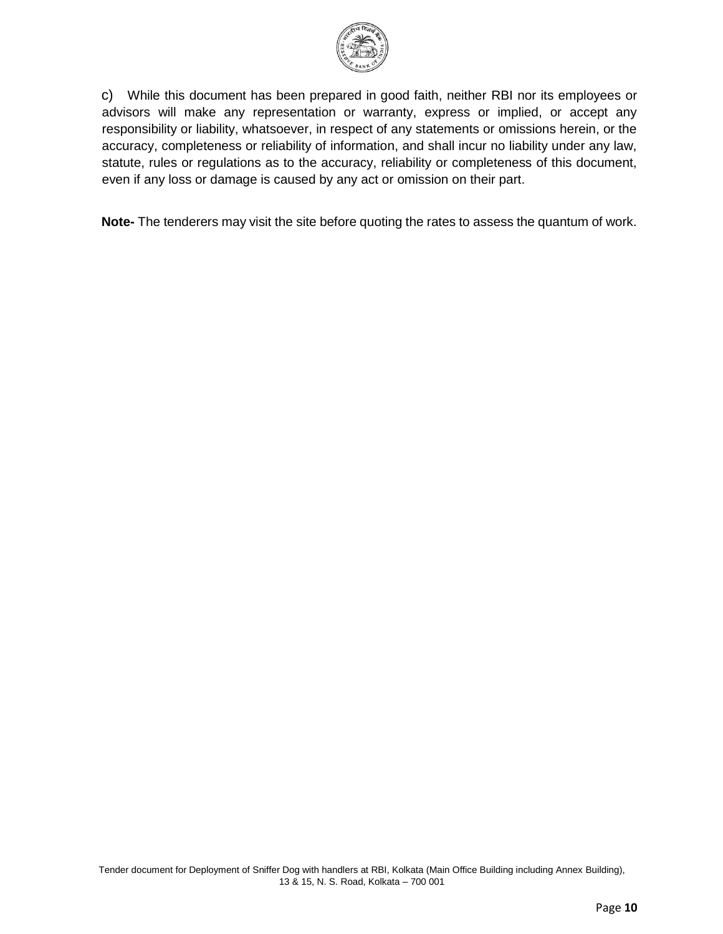

c) While this document has been prepared in good faith, neither RBI nor its employees or advisors will make any representation or warranty, express or implied, or accept any responsibility or liability, whatsoever, in respect of any statements or omissions herein, or the accuracy, completeness or reliability of information, and shall incur no liability under any law, statute, rules or regulations as to the accuracy, reliability or completeness of this document, even if any loss or damage is caused by any act or omission on their part.

**Note-** The tenderers may visit the site before quoting the rates to assess the quantum of work.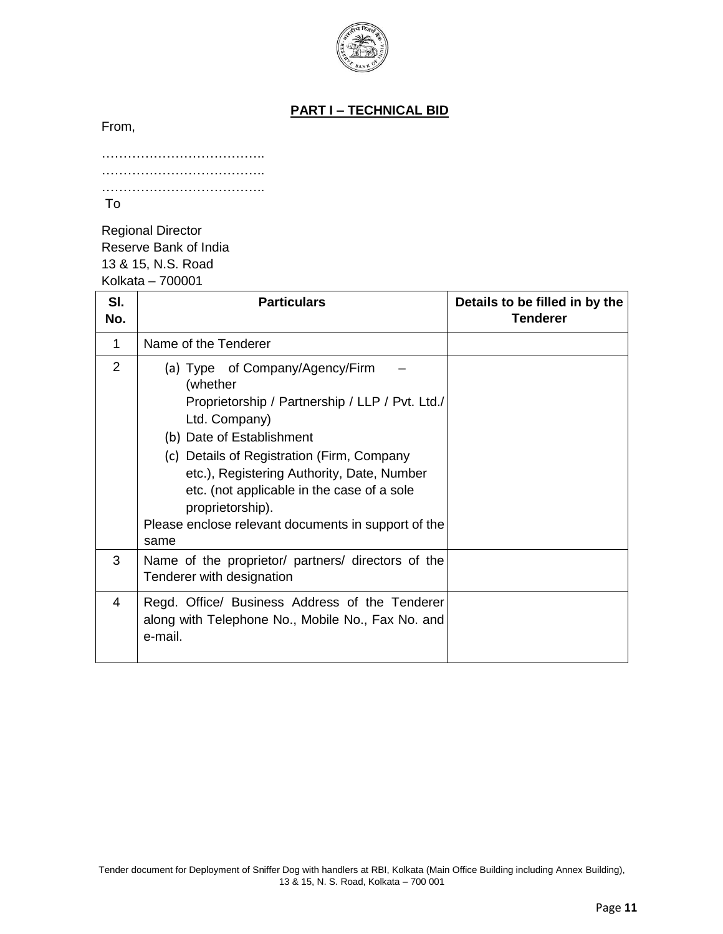

## **PART I – TECHNICAL BID**

From,

| To |  |  |
|----|--|--|

Regional Director Reserve Bank of India 13 & 15, N.S. Road Kolkata – 700001

| SI.<br>No. | <b>Particulars</b>                                                                                                                                                                                                                                                                                                                                                        | Details to be filled in by the<br><b>Tenderer</b> |
|------------|---------------------------------------------------------------------------------------------------------------------------------------------------------------------------------------------------------------------------------------------------------------------------------------------------------------------------------------------------------------------------|---------------------------------------------------|
| 1          | Name of the Tenderer                                                                                                                                                                                                                                                                                                                                                      |                                                   |
| 2          | (a) Type of Company/Agency/Firm<br>(whether<br>Proprietorship / Partnership / LLP / Pvt. Ltd./<br>Ltd. Company)<br>(b) Date of Establishment<br>(c) Details of Registration (Firm, Company<br>etc.), Registering Authority, Date, Number<br>etc. (not applicable in the case of a sole<br>proprietorship).<br>Please enclose relevant documents in support of the<br>same |                                                   |
| 3          | Name of the proprietor/ partners/ directors of the<br>Tenderer with designation                                                                                                                                                                                                                                                                                           |                                                   |
| 4          | Regd. Office/ Business Address of the Tenderer<br>along with Telephone No., Mobile No., Fax No. and<br>e-mail.                                                                                                                                                                                                                                                            |                                                   |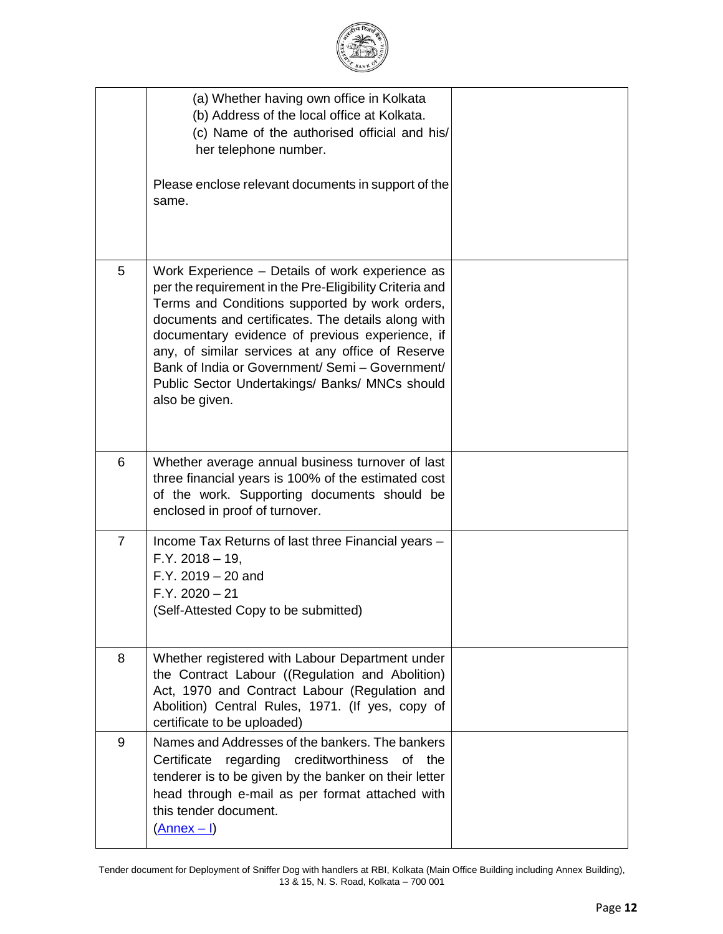|                | (a) Whether having own office in Kolkata<br>(b) Address of the local office at Kolkata.<br>(c) Name of the authorised official and his/<br>her telephone number.<br>Please enclose relevant documents in support of the<br>same.                                                                                                                                                                                                                  |  |
|----------------|---------------------------------------------------------------------------------------------------------------------------------------------------------------------------------------------------------------------------------------------------------------------------------------------------------------------------------------------------------------------------------------------------------------------------------------------------|--|
| 5              | Work Experience - Details of work experience as<br>per the requirement in the Pre-Eligibility Criteria and<br>Terms and Conditions supported by work orders,<br>documents and certificates. The details along with<br>documentary evidence of previous experience, if<br>any, of similar services at any office of Reserve<br>Bank of India or Government/ Semi - Government/<br>Public Sector Undertakings/ Banks/ MNCs should<br>also be given. |  |
| 6              | Whether average annual business turnover of last<br>three financial years is 100% of the estimated cost<br>of the work. Supporting documents should be<br>enclosed in proof of turnover.                                                                                                                                                                                                                                                          |  |
| $\overline{7}$ | Income Tax Returns of last three Financial years -<br>$F.Y. 2018 - 19,$<br>$F.Y. 2019 - 20$ and<br>$F.Y. 2020 - 21$<br>(Self-Attested Copy to be submitted)                                                                                                                                                                                                                                                                                       |  |
| 8              | Whether registered with Labour Department under<br>the Contract Labour ((Regulation and Abolition)<br>Act, 1970 and Contract Labour (Regulation and<br>Abolition) Central Rules, 1971. (If yes, copy of<br>certificate to be uploaded)                                                                                                                                                                                                            |  |
| 9              | Names and Addresses of the bankers. The bankers<br>Certificate<br>regarding creditworthiness<br>of the<br>tenderer is to be given by the banker on their letter<br>head through e-mail as per format attached with<br>this tender document.<br>$(\underline{\text{Annex} - I})$                                                                                                                                                                   |  |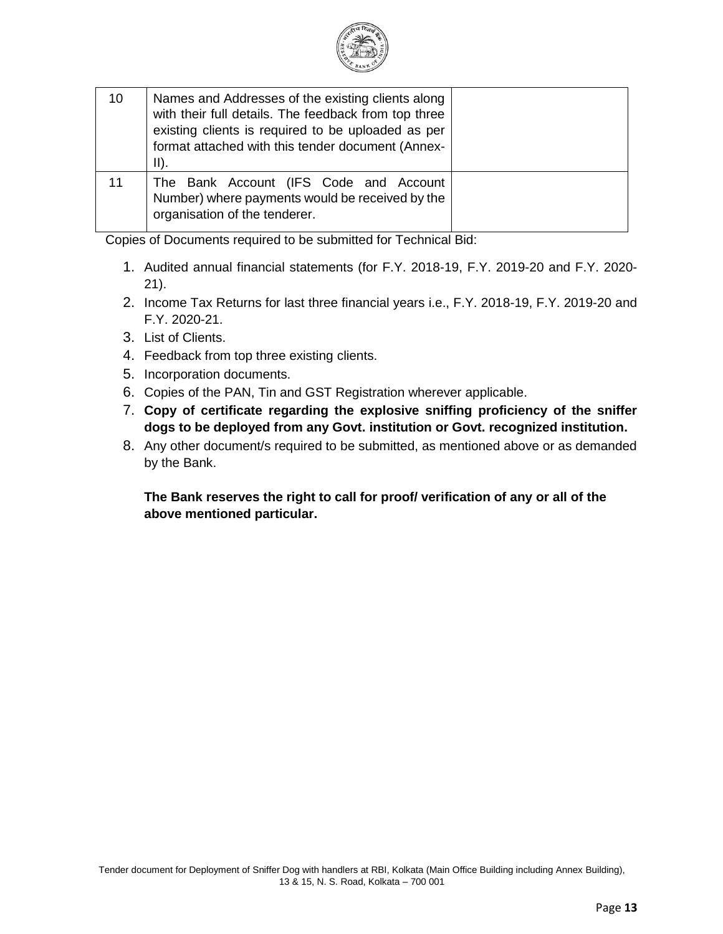

| 10 | Names and Addresses of the existing clients along<br>with their full details. The feedback from top three<br>existing clients is required to be uploaded as per<br>format attached with this tender document (Annex-<br>$II$ ). |  |
|----|---------------------------------------------------------------------------------------------------------------------------------------------------------------------------------------------------------------------------------|--|
| 11 | The Bank Account (IFS Code and Account<br>Number) where payments would be received by the<br>organisation of the tenderer.                                                                                                      |  |

Copies of Documents required to be submitted for Technical Bid:

- 1. Audited annual financial statements (for F.Y. 2018-19, F.Y. 2019-20 and F.Y. 2020- 21).
- 2. Income Tax Returns for last three financial years i.e., F.Y. 2018-19, F.Y. 2019-20 and F.Y. 2020-21.
- 3. List of Clients.
- 4. Feedback from top three existing clients.
- 5. Incorporation documents.
- 6. Copies of the PAN, Tin and GST Registration wherever applicable.
- 7. **Copy of certificate regarding the explosive sniffing proficiency of the sniffer dogs to be deployed from any Govt. institution or Govt. recognized institution.**
- 8. Any other document/s required to be submitted, as mentioned above or as demanded by the Bank.

**The Bank reserves the right to call for proof/ verification of any or all of the above mentioned particular.**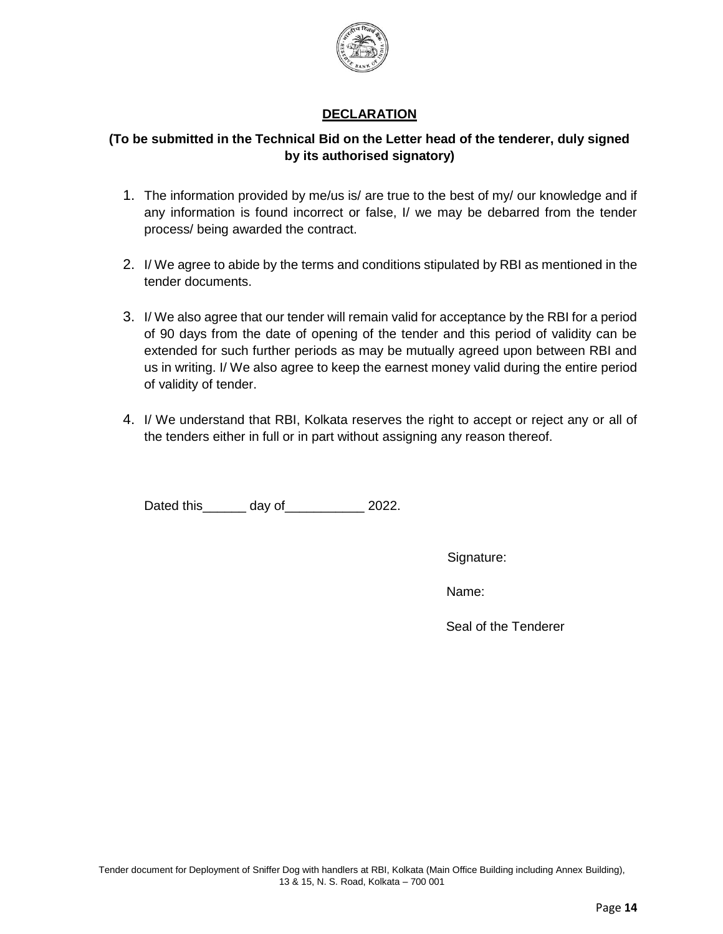

## **DECLARATION**

## **(To be submitted in the Technical Bid on the Letter head of the tenderer, duly signed by its authorised signatory)**

- 1. The information provided by me/us is/ are true to the best of my/ our knowledge and if any information is found incorrect or false, I/ we may be debarred from the tender process/ being awarded the contract.
- 2. I/ We agree to abide by the terms and conditions stipulated by RBI as mentioned in the tender documents.
- 3. I/ We also agree that our tender will remain valid for acceptance by the RBI for a period of 90 days from the date of opening of the tender and this period of validity can be extended for such further periods as may be mutually agreed upon between RBI and us in writing. I/ We also agree to keep the earnest money valid during the entire period of validity of tender.
- 4. I/ We understand that RBI, Kolkata reserves the right to accept or reject any or all of the tenders either in full or in part without assigning any reason thereof.

Dated this\_\_\_\_\_\_\_ day of\_\_\_\_\_\_\_\_\_\_\_\_ 2022.

Signature:

Name:

Seal of the Tenderer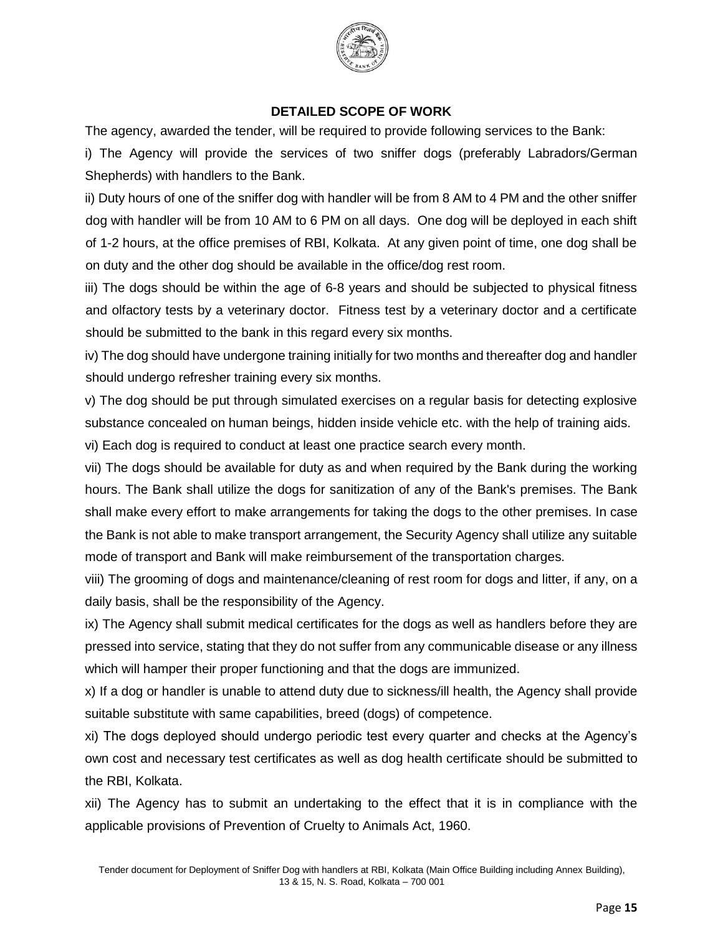

## **DETAILED SCOPE OF WORK**

The agency, awarded the tender, will be required to provide following services to the Bank:

i) The Agency will provide the services of two sniffer dogs (preferably Labradors/German Shepherds) with handlers to the Bank.

ii) Duty hours of one of the sniffer dog with handler will be from 8 AM to 4 PM and the other sniffer dog with handler will be from 10 AM to 6 PM on all days. One dog will be deployed in each shift of 1-2 hours, at the office premises of RBI, Kolkata. At any given point of time, one dog shall be on duty and the other dog should be available in the office/dog rest room.

iii) The dogs should be within the age of 6-8 years and should be subjected to physical fitness and olfactory tests by a veterinary doctor. Fitness test by a veterinary doctor and a certificate should be submitted to the bank in this regard every six months.

iv) The dog should have undergone training initially for two months and thereafter dog and handler should undergo refresher training every six months.

v) The dog should be put through simulated exercises on a regular basis for detecting explosive substance concealed on human beings, hidden inside vehicle etc. with the help of training aids.

vi) Each dog is required to conduct at least one practice search every month.

vii) The dogs should be available for duty as and when required by the Bank during the working hours. The Bank shall utilize the dogs for sanitization of any of the Bank's premises. The Bank shall make every effort to make arrangements for taking the dogs to the other premises. In case the Bank is not able to make transport arrangement, the Security Agency shall utilize any suitable mode of transport and Bank will make reimbursement of the transportation charges.

viii) The grooming of dogs and maintenance/cleaning of rest room for dogs and litter, if any, on a daily basis, shall be the responsibility of the Agency.

ix) The Agency shall submit medical certificates for the dogs as well as handlers before they are pressed into service, stating that they do not suffer from any communicable disease or any illness which will hamper their proper functioning and that the dogs are immunized.

x) If a dog or handler is unable to attend duty due to sickness/ill health, the Agency shall provide suitable substitute with same capabilities, breed (dogs) of competence.

xi) The dogs deployed should undergo periodic test every quarter and checks at the Agency's own cost and necessary test certificates as well as dog health certificate should be submitted to the RBI, Kolkata.

xii) The Agency has to submit an undertaking to the effect that it is in compliance with the applicable provisions of Prevention of Cruelty to Animals Act, 1960.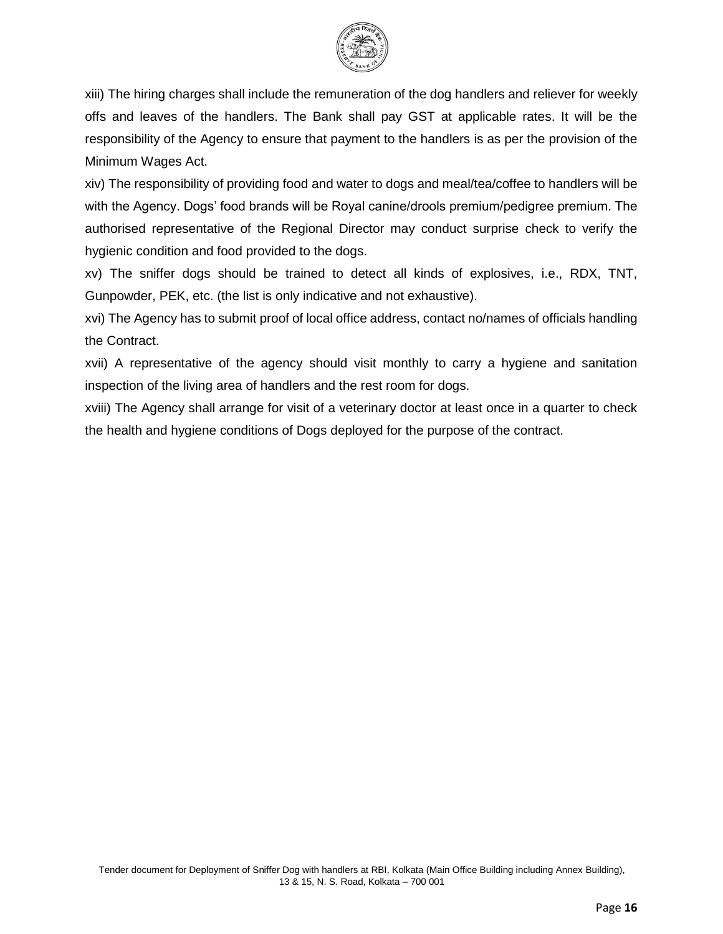

xiii) The hiring charges shall include the remuneration of the dog handlers and reliever for weekly offs and leaves of the handlers. The Bank shall pay GST at applicable rates. It will be the responsibility of the Agency to ensure that payment to the handlers is as per the provision of the Minimum Wages Act.

xiv) The responsibility of providing food and water to dogs and meal/tea/coffee to handlers will be with the Agency. Dogs' food brands will be Royal canine/drools premium/pedigree premium. The authorised representative of the Regional Director may conduct surprise check to verify the hygienic condition and food provided to the dogs.

xv) The sniffer dogs should be trained to detect all kinds of explosives, i.e., RDX, TNT, Gunpowder, PEK, etc. (the list is only indicative and not exhaustive).

xvi) The Agency has to submit proof of local office address, contact no/names of officials handling the Contract.

xvii) A representative of the agency should visit monthly to carry a hygiene and sanitation inspection of the living area of handlers and the rest room for dogs.

xviii) The Agency shall arrange for visit of a veterinary doctor at least once in a quarter to check the health and hygiene conditions of Dogs deployed for the purpose of the contract.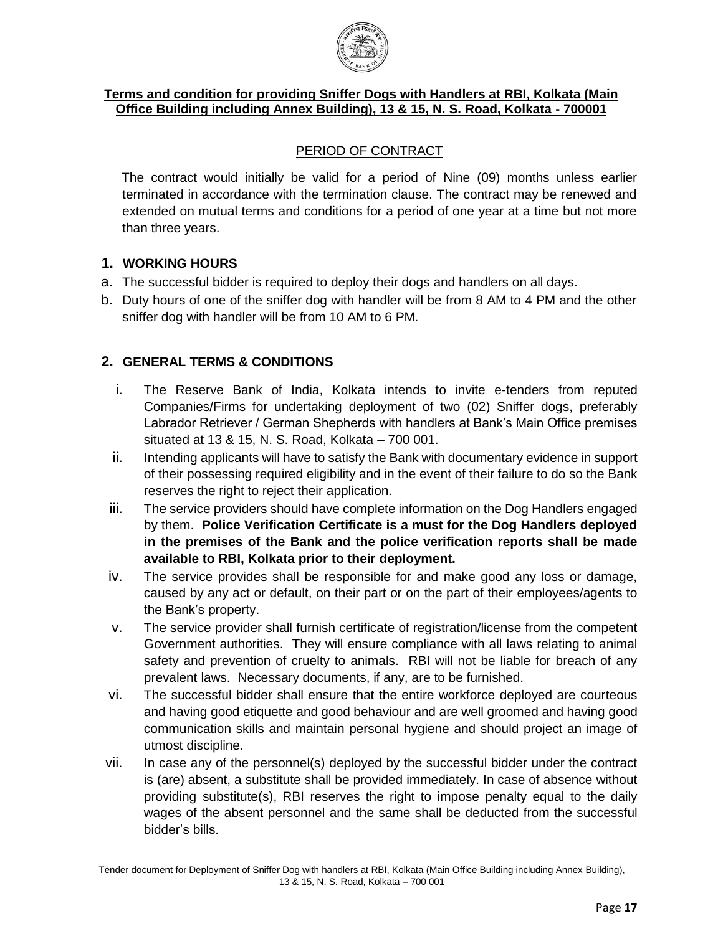

## **Terms and condition for providing Sniffer Dogs with Handlers at RBI, Kolkata (Main Office Building including Annex Building), 13 & 15, N. S. Road, Kolkata - 700001**

## PERIOD OF CONTRACT

The contract would initially be valid for a period of Nine (09) months unless earlier terminated in accordance with the termination clause. The contract may be renewed and extended on mutual terms and conditions for a period of one year at a time but not more than three years.

## **1. WORKING HOURS**

- a. The successful bidder is required to deploy their dogs and handlers on all days.
- b. Duty hours of one of the sniffer dog with handler will be from 8 AM to 4 PM and the other sniffer dog with handler will be from 10 AM to 6 PM.

## **2. GENERAL TERMS & CONDITIONS**

- i. The Reserve Bank of India, Kolkata intends to invite e-tenders from reputed Companies/Firms for undertaking deployment of two (02) Sniffer dogs, preferably Labrador Retriever / German Shepherds with handlers at Bank's Main Office premises situated at 13 & 15, N. S. Road, Kolkata – 700 001.
- ii. Intending applicants will have to satisfy the Bank with documentary evidence in support of their possessing required eligibility and in the event of their failure to do so the Bank reserves the right to reject their application.
- iii. The service providers should have complete information on the Dog Handlers engaged by them. **Police Verification Certificate is a must for the Dog Handlers deployed in the premises of the Bank and the police verification reports shall be made available to RBI, Kolkata prior to their deployment.**
- iv. The service provides shall be responsible for and make good any loss or damage, caused by any act or default, on their part or on the part of their employees/agents to the Bank's property.
- v. The service provider shall furnish certificate of registration/license from the competent Government authorities. They will ensure compliance with all laws relating to animal safety and prevention of cruelty to animals. RBI will not be liable for breach of any prevalent laws. Necessary documents, if any, are to be furnished.
- vi. The successful bidder shall ensure that the entire workforce deployed are courteous and having good etiquette and good behaviour and are well groomed and having good communication skills and maintain personal hygiene and should project an image of utmost discipline.
- vii. In case any of the personnel(s) deployed by the successful bidder under the contract is (are) absent, a substitute shall be provided immediately. In case of absence without providing substitute(s), RBI reserves the right to impose penalty equal to the daily wages of the absent personnel and the same shall be deducted from the successful bidder's bills.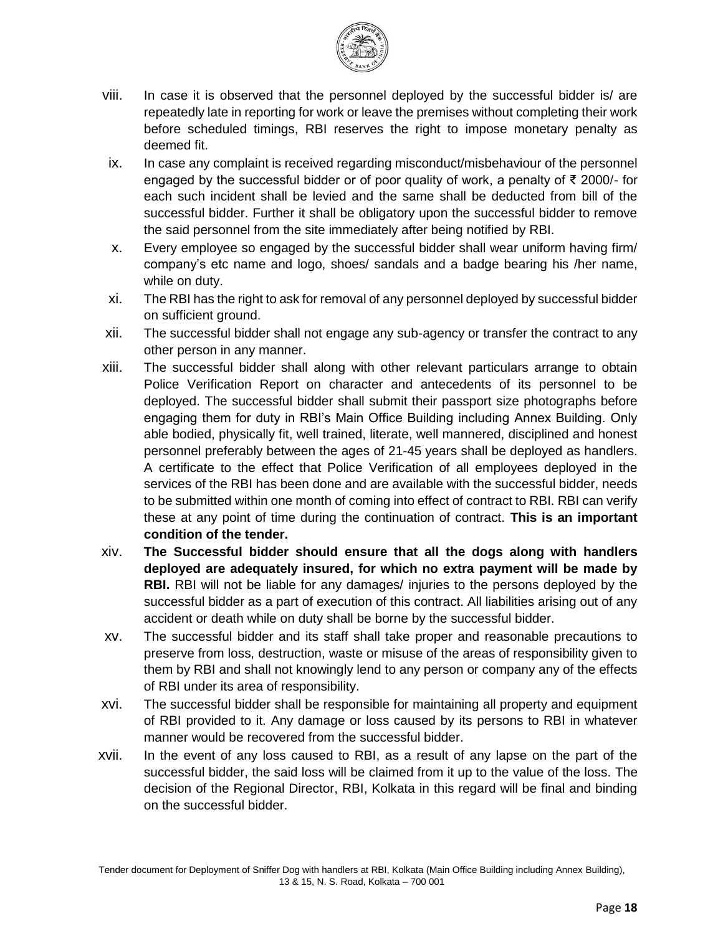

- viii. In case it is observed that the personnel deployed by the successful bidder is/ are repeatedly late in reporting for work or leave the premises without completing their work before scheduled timings, RBI reserves the right to impose monetary penalty as deemed fit.
- ix. In case any complaint is received regarding misconduct/misbehaviour of the personnel engaged by the successful bidder or of poor quality of work, a penalty of ₹ 2000/- for each such incident shall be levied and the same shall be deducted from bill of the successful bidder. Further it shall be obligatory upon the successful bidder to remove the said personnel from the site immediately after being notified by RBI.
- x. Every employee so engaged by the successful bidder shall wear uniform having firm/ company's etc name and logo, shoes/ sandals and a badge bearing his /her name, while on duty.
- xi. The RBI has the right to ask for removal of any personnel deployed by successful bidder on sufficient ground.
- xii. The successful bidder shall not engage any sub-agency or transfer the contract to any other person in any manner.
- xiii. The successful bidder shall along with other relevant particulars arrange to obtain Police Verification Report on character and antecedents of its personnel to be deployed. The successful bidder shall submit their passport size photographs before engaging them for duty in RBI's Main Office Building including Annex Building. Only able bodied, physically fit, well trained, literate, well mannered, disciplined and honest personnel preferably between the ages of 21-45 years shall be deployed as handlers. A certificate to the effect that Police Verification of all employees deployed in the services of the RBI has been done and are available with the successful bidder, needs to be submitted within one month of coming into effect of contract to RBI. RBI can verify these at any point of time during the continuation of contract. **This is an important condition of the tender.**
- xiv. **The Successful bidder should ensure that all the dogs along with handlers deployed are adequately insured, for which no extra payment will be made by RBI.** RBI will not be liable for any damages/ injuries to the persons deployed by the successful bidder as a part of execution of this contract. All liabilities arising out of any accident or death while on duty shall be borne by the successful bidder.
- xv. The successful bidder and its staff shall take proper and reasonable precautions to preserve from loss, destruction, waste or misuse of the areas of responsibility given to them by RBI and shall not knowingly lend to any person or company any of the effects of RBI under its area of responsibility.
- xvi. The successful bidder shall be responsible for maintaining all property and equipment of RBI provided to it. Any damage or loss caused by its persons to RBI in whatever manner would be recovered from the successful bidder.
- xvii. In the event of any loss caused to RBI, as a result of any lapse on the part of the successful bidder, the said loss will be claimed from it up to the value of the loss. The decision of the Regional Director, RBI, Kolkata in this regard will be final and binding on the successful bidder.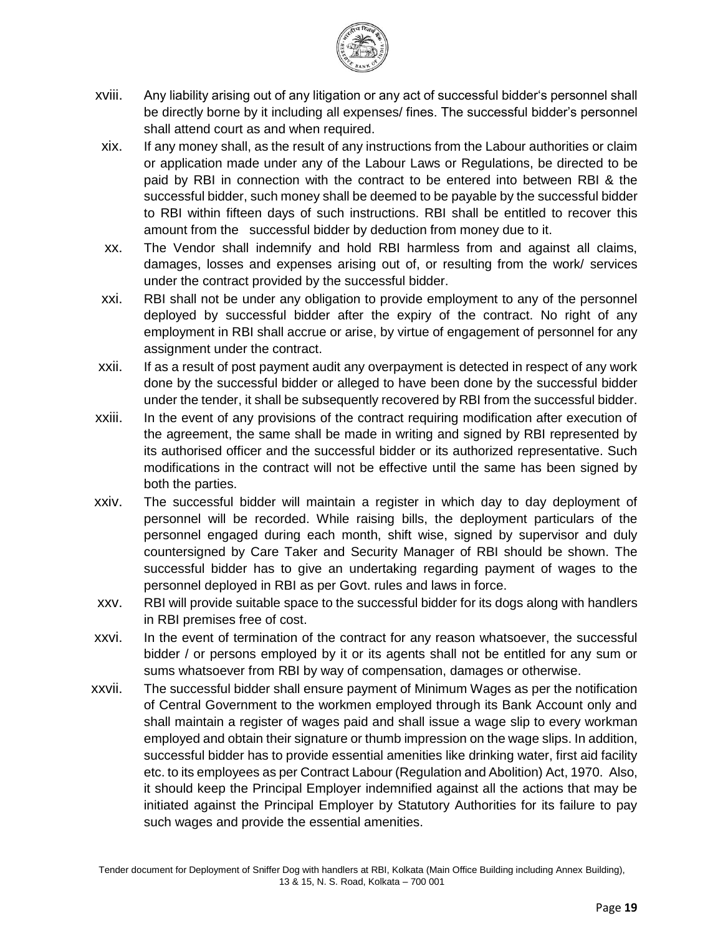

- xviii. Any liability arising out of any litigation or any act of successful bidder's personnel shall be directly borne by it including all expenses/ fines. The successful bidder's personnel shall attend court as and when required.
- xix. If any money shall, as the result of any instructions from the Labour authorities or claim or application made under any of the Labour Laws or Regulations, be directed to be paid by RBI in connection with the contract to be entered into between RBI & the successful bidder, such money shall be deemed to be payable by the successful bidder to RBI within fifteen days of such instructions. RBI shall be entitled to recover this amount from the successful bidder by deduction from money due to it.
- xx. The Vendor shall indemnify and hold RBI harmless from and against all claims, damages, losses and expenses arising out of, or resulting from the work/ services under the contract provided by the successful bidder.
- xxi. RBI shall not be under any obligation to provide employment to any of the personnel deployed by successful bidder after the expiry of the contract. No right of any employment in RBI shall accrue or arise, by virtue of engagement of personnel for any assignment under the contract.
- xxii. If as a result of post payment audit any overpayment is detected in respect of any work done by the successful bidder or alleged to have been done by the successful bidder under the tender, it shall be subsequently recovered by RBI from the successful bidder.
- xxiii. In the event of any provisions of the contract requiring modification after execution of the agreement, the same shall be made in writing and signed by RBI represented by its authorised officer and the successful bidder or its authorized representative. Such modifications in the contract will not be effective until the same has been signed by both the parties.
- xxiv. The successful bidder will maintain a register in which day to day deployment of personnel will be recorded. While raising bills, the deployment particulars of the personnel engaged during each month, shift wise, signed by supervisor and duly countersigned by Care Taker and Security Manager of RBI should be shown. The successful bidder has to give an undertaking regarding payment of wages to the personnel deployed in RBI as per Govt. rules and laws in force.
- xxv. RBI will provide suitable space to the successful bidder for its dogs along with handlers in RBI premises free of cost.
- xxvi. In the event of termination of the contract for any reason whatsoever, the successful bidder / or persons employed by it or its agents shall not be entitled for any sum or sums whatsoever from RBI by way of compensation, damages or otherwise.
- xxvii. The successful bidder shall ensure payment of Minimum Wages as per the notification of Central Government to the workmen employed through its Bank Account only and shall maintain a register of wages paid and shall issue a wage slip to every workman employed and obtain their signature or thumb impression on the wage slips. In addition, successful bidder has to provide essential amenities like drinking water, first aid facility etc. to its employees as per Contract Labour (Regulation and Abolition) Act, 1970. Also, it should keep the Principal Employer indemnified against all the actions that may be initiated against the Principal Employer by Statutory Authorities for its failure to pay such wages and provide the essential amenities.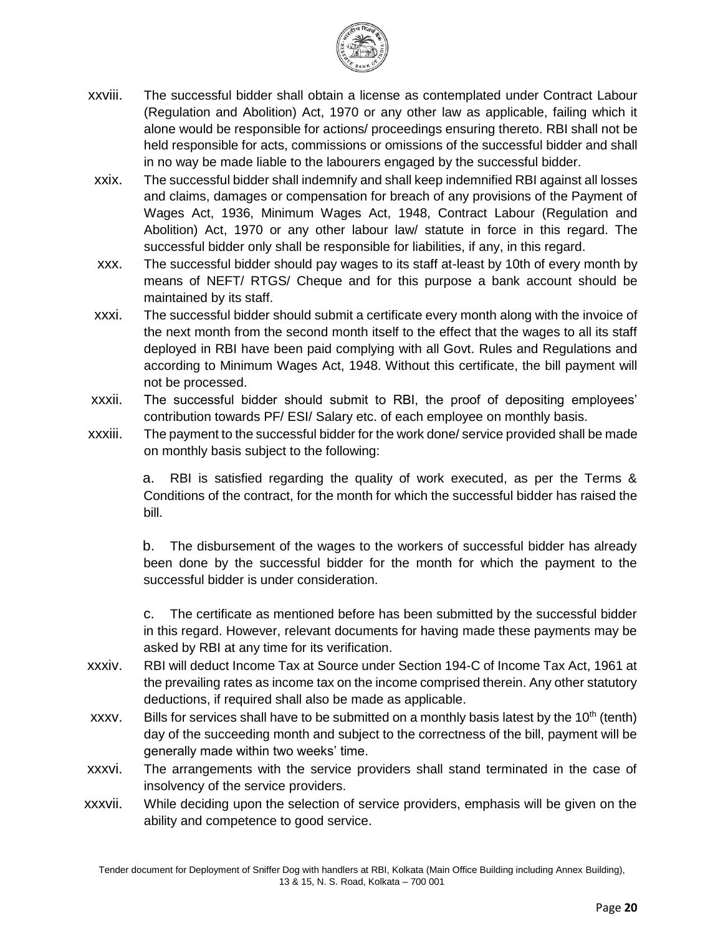

- xxviii. The successful bidder shall obtain a license as contemplated under Contract Labour (Regulation and Abolition) Act, 1970 or any other law as applicable, failing which it alone would be responsible for actions/ proceedings ensuring thereto. RBI shall not be held responsible for acts, commissions or omissions of the successful bidder and shall in no way be made liable to the labourers engaged by the successful bidder.
- xxix. The successful bidder shall indemnify and shall keep indemnified RBI against all losses and claims, damages or compensation for breach of any provisions of the Payment of Wages Act, 1936, Minimum Wages Act, 1948, Contract Labour (Regulation and Abolition) Act, 1970 or any other labour law/ statute in force in this regard. The successful bidder only shall be responsible for liabilities, if any, in this regard.
- xxx. The successful bidder should pay wages to its staff at-least by 10th of every month by means of NEFT/ RTGS/ Cheque and for this purpose a bank account should be maintained by its staff.
- xxxi. The successful bidder should submit a certificate every month along with the invoice of the next month from the second month itself to the effect that the wages to all its staff deployed in RBI have been paid complying with all Govt. Rules and Regulations and according to Minimum Wages Act, 1948. Without this certificate, the bill payment will not be processed.
- xxxii. The successful bidder should submit to RBI, the proof of depositing employees' contribution towards PF/ ESI/ Salary etc. of each employee on monthly basis.
- xxxiii. The payment to the successful bidder for the work done/ service provided shall be made on monthly basis subject to the following:

a. RBI is satisfied regarding the quality of work executed, as per the Terms & Conditions of the contract, for the month for which the successful bidder has raised the bill.

b. The disbursement of the wages to the workers of successful bidder has already been done by the successful bidder for the month for which the payment to the successful bidder is under consideration.

c. The certificate as mentioned before has been submitted by the successful bidder in this regard. However, relevant documents for having made these payments may be asked by RBI at any time for its verification.

- xxxiv. RBI will deduct Income Tax at Source under Section 194-C of Income Tax Act, 1961 at the prevailing rates as income tax on the income comprised therein. Any other statutory deductions, if required shall also be made as applicable.
- xxxv. Bills for services shall have to be submitted on a monthly basis latest by the  $10<sup>th</sup>$  (tenth) day of the succeeding month and subject to the correctness of the bill, payment will be generally made within two weeks' time.
- xxxvi. The arrangements with the service providers shall stand terminated in the case of insolvency of the service providers.
- xxxvii. While deciding upon the selection of service providers, emphasis will be given on the ability and competence to good service.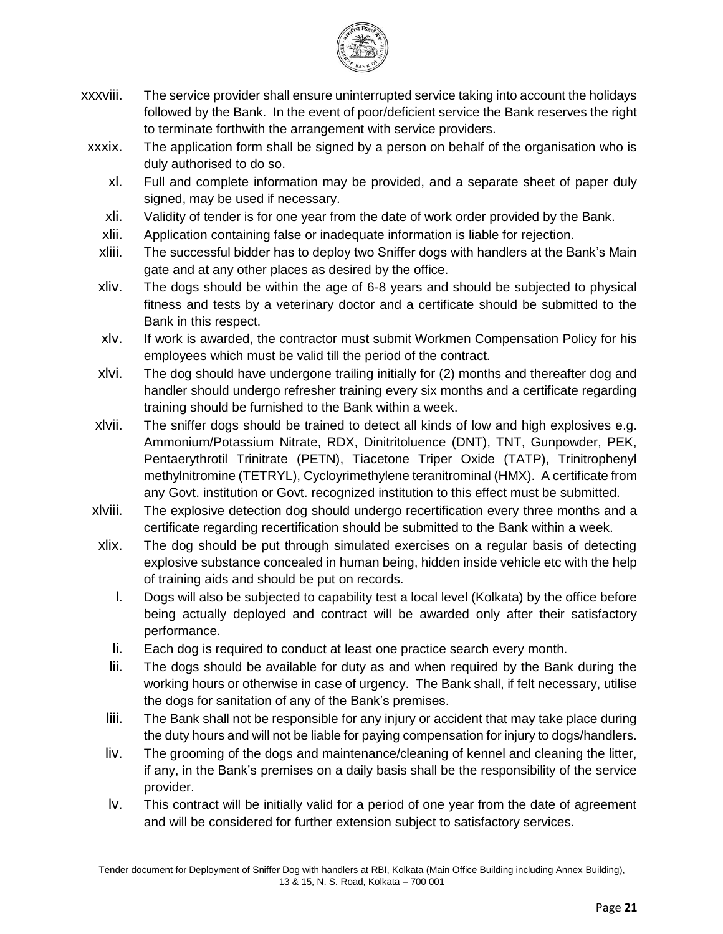

- xxxviii. The service provider shall ensure uninterrupted service taking into account the holidays followed by the Bank. In the event of poor/deficient service the Bank reserves the right to terminate forthwith the arrangement with service providers.
- xxxix. The application form shall be signed by a person on behalf of the organisation who is duly authorised to do so.
	- xl. Full and complete information may be provided, and a separate sheet of paper duly signed, may be used if necessary.
	- xli. Validity of tender is for one year from the date of work order provided by the Bank.
	- xlii. Application containing false or inadequate information is liable for rejection.
	- xliii. The successful bidder has to deploy two Sniffer dogs with handlers at the Bank's Main gate and at any other places as desired by the office.
	- xliv. The dogs should be within the age of 6-8 years and should be subjected to physical fitness and tests by a veterinary doctor and a certificate should be submitted to the Bank in this respect.
	- xlv. If work is awarded, the contractor must submit Workmen Compensation Policy for his employees which must be valid till the period of the contract.
	- xlvi. The dog should have undergone trailing initially for (2) months and thereafter dog and handler should undergo refresher training every six months and a certificate regarding training should be furnished to the Bank within a week.
- xlvii. The sniffer dogs should be trained to detect all kinds of low and high explosives e.g. Ammonium/Potassium Nitrate, RDX, Dinitritoluence (DNT), TNT, Gunpowder, PEK, Pentaerythrotil Trinitrate (PETN), Tiacetone Triper Oxide (TATP), Trinitrophenyl methylnitromine (TETRYL), Cycloyrimethylene teranitrominal (HMX). A certificate from any Govt. institution or Govt. recognized institution to this effect must be submitted.
- xlviii. The explosive detection dog should undergo recertification every three months and a certificate regarding recertification should be submitted to the Bank within a week.
- xlix. The dog should be put through simulated exercises on a regular basis of detecting explosive substance concealed in human being, hidden inside vehicle etc with the help of training aids and should be put on records.
	- l. Dogs will also be subjected to capability test a local level (Kolkata) by the office before being actually deployed and contract will be awarded only after their satisfactory performance.
	- li. Each dog is required to conduct at least one practice search every month.
	- lii. The dogs should be available for duty as and when required by the Bank during the working hours or otherwise in case of urgency. The Bank shall, if felt necessary, utilise the dogs for sanitation of any of the Bank's premises.
	- liii. The Bank shall not be responsible for any injury or accident that may take place during the duty hours and will not be liable for paying compensation for injury to dogs/handlers.
	- liv. The grooming of the dogs and maintenance/cleaning of kennel and cleaning the litter, if any, in the Bank's premises on a daily basis shall be the responsibility of the service provider.
	- lv. This contract will be initially valid for a period of one year from the date of agreement and will be considered for further extension subject to satisfactory services.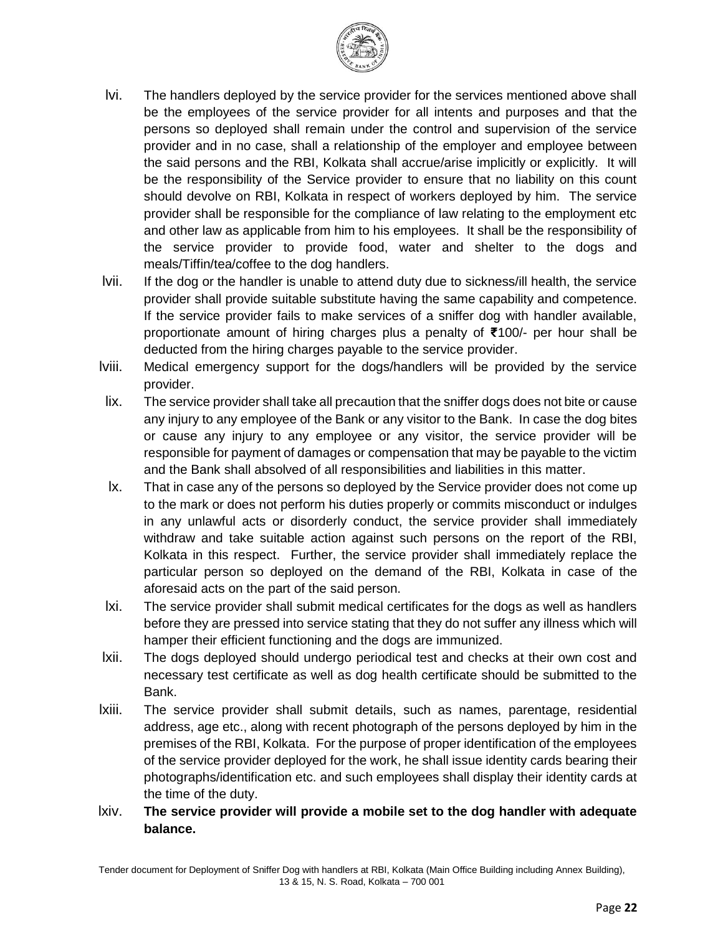

- lvi. The handlers deployed by the service provider for the services mentioned above shall be the employees of the service provider for all intents and purposes and that the persons so deployed shall remain under the control and supervision of the service provider and in no case, shall a relationship of the employer and employee between the said persons and the RBI, Kolkata shall accrue/arise implicitly or explicitly. It will be the responsibility of the Service provider to ensure that no liability on this count should devolve on RBI, Kolkata in respect of workers deployed by him. The service provider shall be responsible for the compliance of law relating to the employment etc and other law as applicable from him to his employees. It shall be the responsibility of the service provider to provide food, water and shelter to the dogs and meals/Tiffin/tea/coffee to the dog handlers.
- lvii. If the dog or the handler is unable to attend duty due to sickness/ill health, the service provider shall provide suitable substitute having the same capability and competence. If the service provider fails to make services of a sniffer dog with handler available, proportionate amount of hiring charges plus a penalty of **₹**100/- per hour shall be deducted from the hiring charges payable to the service provider.
- lviii. Medical emergency support for the dogs/handlers will be provided by the service provider.
- lix. The service provider shall take all precaution that the sniffer dogs does not bite or cause any injury to any employee of the Bank or any visitor to the Bank. In case the dog bites or cause any injury to any employee or any visitor, the service provider will be responsible for payment of damages or compensation that may be payable to the victim and the Bank shall absolved of all responsibilities and liabilities in this matter.
- lx. That in case any of the persons so deployed by the Service provider does not come up to the mark or does not perform his duties properly or commits misconduct or indulges in any unlawful acts or disorderly conduct, the service provider shall immediately withdraw and take suitable action against such persons on the report of the RBI, Kolkata in this respect. Further, the service provider shall immediately replace the particular person so deployed on the demand of the RBI, Kolkata in case of the aforesaid acts on the part of the said person.
- lxi. The service provider shall submit medical certificates for the dogs as well as handlers before they are pressed into service stating that they do not suffer any illness which will hamper their efficient functioning and the dogs are immunized.
- lxii. The dogs deployed should undergo periodical test and checks at their own cost and necessary test certificate as well as dog health certificate should be submitted to the Bank.
- lxiii. The service provider shall submit details, such as names, parentage, residential address, age etc., along with recent photograph of the persons deployed by him in the premises of the RBI, Kolkata. For the purpose of proper identification of the employees of the service provider deployed for the work, he shall issue identity cards bearing their photographs/identification etc. and such employees shall display their identity cards at the time of the duty.
- lxiv. **The service provider will provide a mobile set to the dog handler with adequate balance.**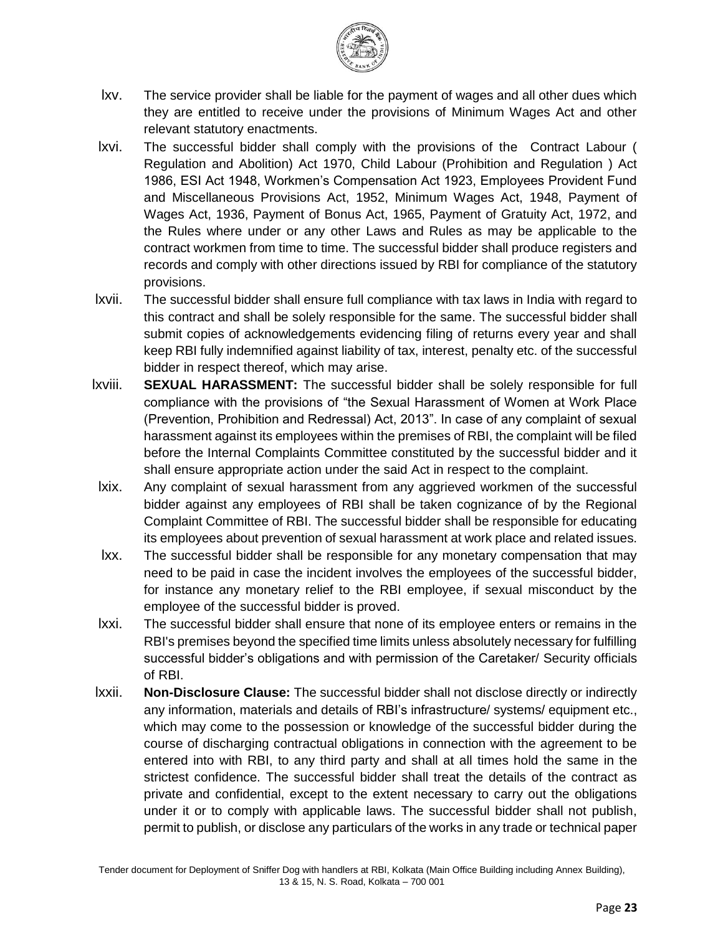

- lxv. The service provider shall be liable for the payment of wages and all other dues which they are entitled to receive under the provisions of Minimum Wages Act and other relevant statutory enactments.
- lxvi. The successful bidder shall comply with the provisions of the Contract Labour ( Regulation and Abolition) Act 1970, Child Labour (Prohibition and Regulation ) Act 1986, ESI Act 1948, Workmen's Compensation Act 1923, Employees Provident Fund and Miscellaneous Provisions Act, 1952, Minimum Wages Act, 1948, Payment of Wages Act, 1936, Payment of Bonus Act, 1965, Payment of Gratuity Act, 1972, and the Rules where under or any other Laws and Rules as may be applicable to the contract workmen from time to time. The successful bidder shall produce registers and records and comply with other directions issued by RBI for compliance of the statutory provisions.
- lxvii. The successful bidder shall ensure full compliance with tax laws in India with regard to this contract and shall be solely responsible for the same. The successful bidder shall submit copies of acknowledgements evidencing filing of returns every year and shall keep RBI fully indemnified against liability of tax, interest, penalty etc. of the successful bidder in respect thereof, which may arise.
- lxviii. **SEXUAL HARASSMENT:** The successful bidder shall be solely responsible for full compliance with the provisions of "the Sexual Harassment of Women at Work Place (Prevention, Prohibition and Redressal) Act, 2013". In case of any complaint of sexual harassment against its employees within the premises of RBI, the complaint will be filed before the Internal Complaints Committee constituted by the successful bidder and it shall ensure appropriate action under the said Act in respect to the complaint.
- lxix. Any complaint of sexual harassment from any aggrieved workmen of the successful bidder against any employees of RBI shall be taken cognizance of by the Regional Complaint Committee of RBI. The successful bidder shall be responsible for educating its employees about prevention of sexual harassment at work place and related issues.
- lxx. The successful bidder shall be responsible for any monetary compensation that may need to be paid in case the incident involves the employees of the successful bidder, for instance any monetary relief to the RBI employee, if sexual misconduct by the employee of the successful bidder is proved.
- lxxi. The successful bidder shall ensure that none of its employee enters or remains in the RBI's premises beyond the specified time limits unless absolutely necessary for fulfilling successful bidder's obligations and with permission of the Caretaker/ Security officials of RBI.
- lxxii. **Non-Disclosure Clause:** The successful bidder shall not disclose directly or indirectly any information, materials and details of RBI's infrastructure/ systems/ equipment etc., which may come to the possession or knowledge of the successful bidder during the course of discharging contractual obligations in connection with the agreement to be entered into with RBI, to any third party and shall at all times hold the same in the strictest confidence. The successful bidder shall treat the details of the contract as private and confidential, except to the extent necessary to carry out the obligations under it or to comply with applicable laws. The successful bidder shall not publish, permit to publish, or disclose any particulars of the works in any trade or technical paper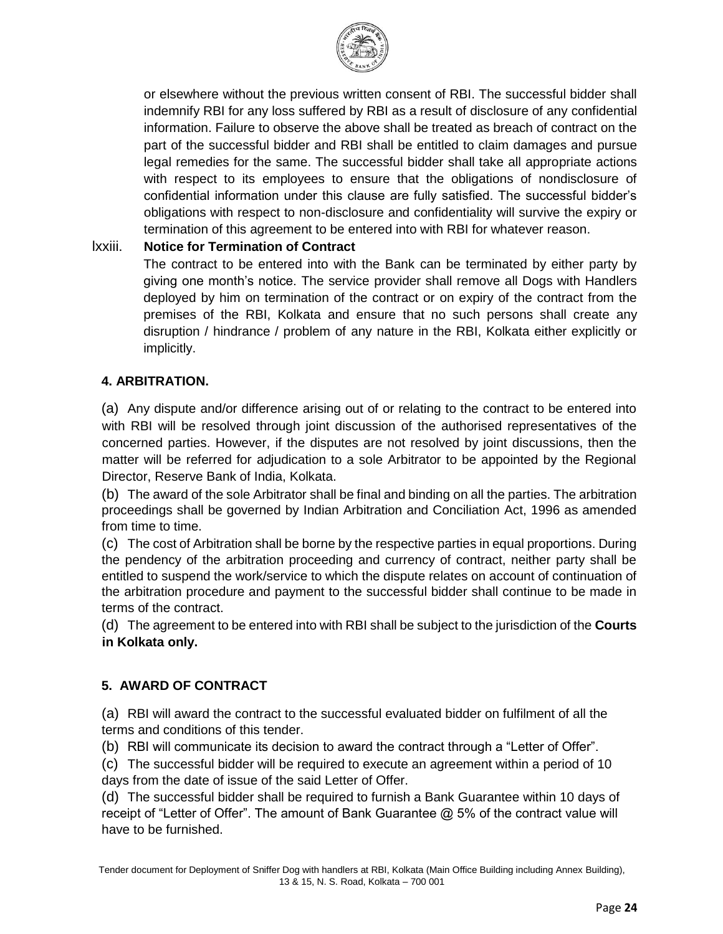

or elsewhere without the previous written consent of RBI. The successful bidder shall indemnify RBI for any loss suffered by RBI as a result of disclosure of any confidential information. Failure to observe the above shall be treated as breach of contract on the part of the successful bidder and RBI shall be entitled to claim damages and pursue legal remedies for the same. The successful bidder shall take all appropriate actions with respect to its employees to ensure that the obligations of nondisclosure of confidential information under this clause are fully satisfied. The successful bidder's obligations with respect to non-disclosure and confidentiality will survive the expiry or termination of this agreement to be entered into with RBI for whatever reason.

### lxxiii. **Notice for Termination of Contract**

The contract to be entered into with the Bank can be terminated by either party by giving one month's notice. The service provider shall remove all Dogs with Handlers deployed by him on termination of the contract or on expiry of the contract from the premises of the RBI, Kolkata and ensure that no such persons shall create any disruption / hindrance / problem of any nature in the RBI, Kolkata either explicitly or implicitly.

### **4. ARBITRATION.**

(a) Any dispute and/or difference arising out of or relating to the contract to be entered into with RBI will be resolved through joint discussion of the authorised representatives of the concerned parties. However, if the disputes are not resolved by joint discussions, then the matter will be referred for adjudication to a sole Arbitrator to be appointed by the Regional Director, Reserve Bank of India, Kolkata.

(b) The award of the sole Arbitrator shall be final and binding on all the parties. The arbitration proceedings shall be governed by Indian Arbitration and Conciliation Act, 1996 as amended from time to time.

(c) The cost of Arbitration shall be borne by the respective parties in equal proportions. During the pendency of the arbitration proceeding and currency of contract, neither party shall be entitled to suspend the work/service to which the dispute relates on account of continuation of the arbitration procedure and payment to the successful bidder shall continue to be made in terms of the contract.

(d) The agreement to be entered into with RBI shall be subject to the jurisdiction of the **Courts in Kolkata only.** 

#### **5. AWARD OF CONTRACT**

(a) RBI will award the contract to the successful evaluated bidder on fulfilment of all the terms and conditions of this tender.

(b) RBI will communicate its decision to award the contract through a "Letter of Offer".

(c) The successful bidder will be required to execute an agreement within a period of 10 days from the date of issue of the said Letter of Offer.

(d) The successful bidder shall be required to furnish a Bank Guarantee within 10 days of receipt of "Letter of Offer". The amount of Bank Guarantee @ 5% of the contract value will have to be furnished.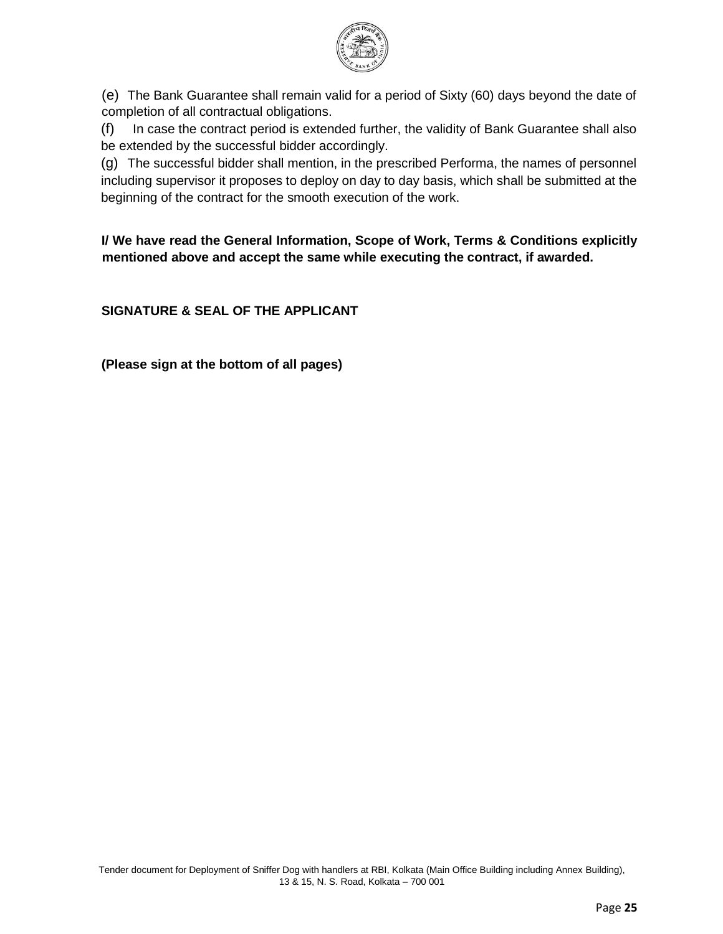

(e) The Bank Guarantee shall remain valid for a period of Sixty (60) days beyond the date of completion of all contractual obligations.

(f) In case the contract period is extended further, the validity of Bank Guarantee shall also be extended by the successful bidder accordingly.

(g) The successful bidder shall mention, in the prescribed Performa, the names of personnel including supervisor it proposes to deploy on day to day basis, which shall be submitted at the beginning of the contract for the smooth execution of the work.

**I/ We have read the General Information, Scope of Work, Terms & Conditions explicitly mentioned above and accept the same while executing the contract, if awarded.** 

**SIGNATURE & SEAL OF THE APPLICANT** 

**(Please sign at the bottom of all pages)**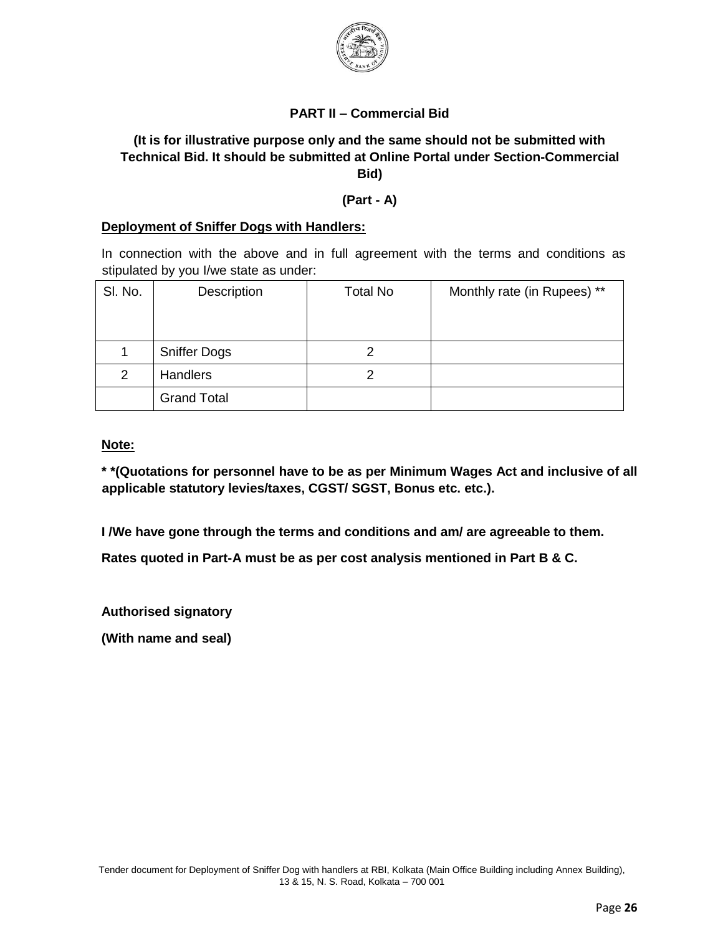

### **PART II – Commercial Bid**

## **(It is for illustrative purpose only and the same should not be submitted with Technical Bid. It should be submitted at Online Portal under Section-Commercial Bid)**

#### **(Part - A)**

#### **Deployment of Sniffer Dogs with Handlers:**

In connection with the above and in full agreement with the terms and conditions as stipulated by you I/we state as under:

| SI. No. | Description         | <b>Total No</b> | Monthly rate (in Rupees) ** |
|---------|---------------------|-----------------|-----------------------------|
|         |                     |                 |                             |
|         | <b>Sniffer Dogs</b> |                 |                             |
| 2       | <b>Handlers</b>     | റ               |                             |
|         | <b>Grand Total</b>  |                 |                             |

**Note:**

**\* \*(Quotations for personnel have to be as per Minimum Wages Act and inclusive of all applicable statutory levies/taxes, CGST/ SGST, Bonus etc. etc.).** 

**I /We have gone through the terms and conditions and am/ are agreeable to them.** 

**Rates quoted in Part-A must be as per cost analysis mentioned in Part B & C.** 

**Authorised signatory** 

**(With name and seal)**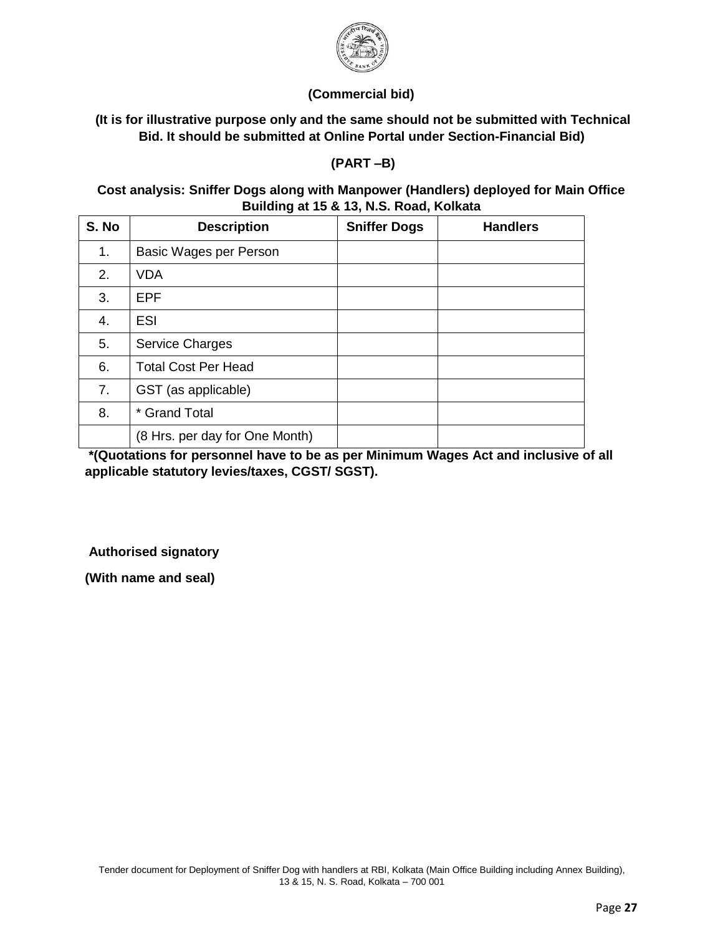

### **(Commercial bid)**

### **(It is for illustrative purpose only and the same should not be submitted with Technical Bid. It should be submitted at Online Portal under Section-Financial Bid)**

**(PART –B)** 

### **Cost analysis: Sniffer Dogs along with Manpower (Handlers) deployed for Main Office Building at 15 & 13, N.S. Road, Kolkata**

| S. No | <b>Description</b>             | <b>Sniffer Dogs</b> | <b>Handlers</b> |
|-------|--------------------------------|---------------------|-----------------|
| 1.    | Basic Wages per Person         |                     |                 |
| 2.    | <b>VDA</b>                     |                     |                 |
| 3.    | <b>EPF</b>                     |                     |                 |
| 4.    | <b>ESI</b>                     |                     |                 |
| 5.    | <b>Service Charges</b>         |                     |                 |
| 6.    | <b>Total Cost Per Head</b>     |                     |                 |
| 7.    | GST (as applicable)            |                     |                 |
| 8.    | * Grand Total                  |                     |                 |
|       | (8 Hrs. per day for One Month) |                     |                 |

**\*(Quotations for personnel have to be as per Minimum Wages Act and inclusive of all applicable statutory levies/taxes, CGST/ SGST).** 

**Authorised signatory** 

**(With name and seal)**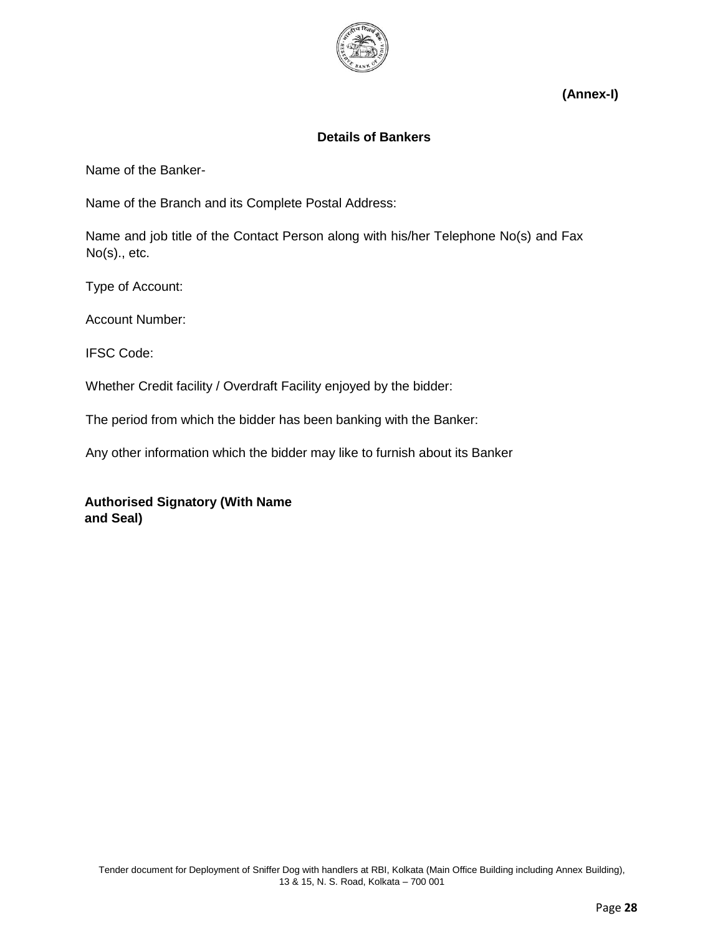

**(Annex-I)** 

### **Details of Bankers**

Name of the Banker-

Name of the Branch and its Complete Postal Address:

Name and job title of the Contact Person along with his/her Telephone No(s) and Fax No(s)., etc.

Type of Account:

Account Number:

IFSC Code:

Whether Credit facility / Overdraft Facility enjoyed by the bidder:

The period from which the bidder has been banking with the Banker:

Any other information which the bidder may like to furnish about its Banker

**Authorised Signatory (With Name and Seal)**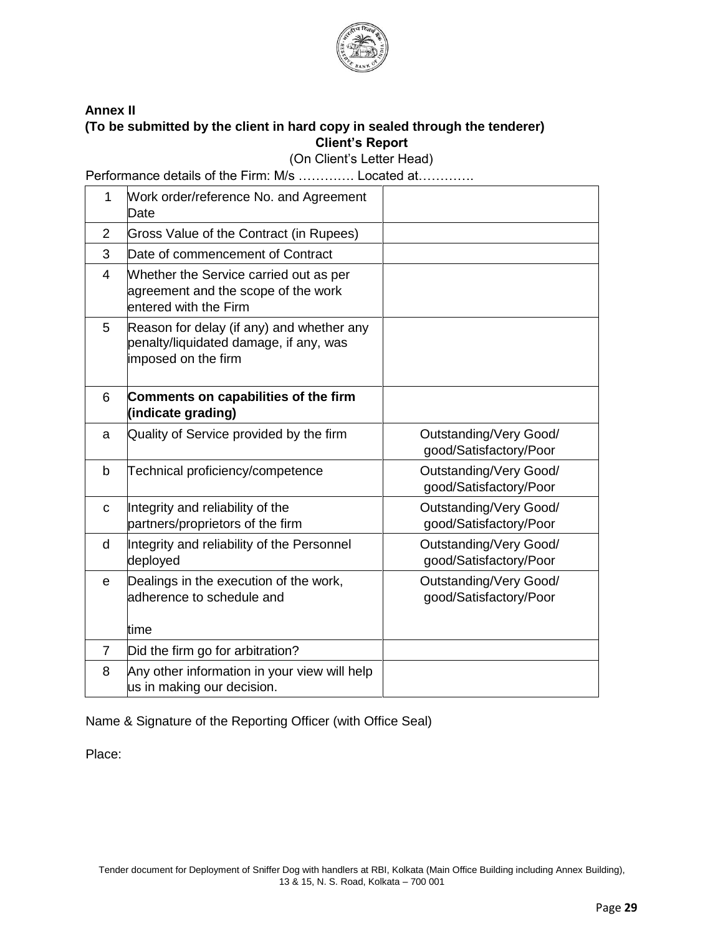

#### **Annex II (To be submitted by the client in hard copy in sealed through the tenderer) Client's Report**

(On Client's Letter Head)

Performance details of the Firm: M/s …………. Located at………….

| 1              | Work order/reference No. and Agreement<br>Date                                                             |                                                  |
|----------------|------------------------------------------------------------------------------------------------------------|--------------------------------------------------|
| 2              | Gross Value of the Contract (in Rupees)                                                                    |                                                  |
| 3              | Date of commencement of Contract                                                                           |                                                  |
| $\overline{4}$ | Whether the Service carried out as per<br>agreement and the scope of the work<br>entered with the Firm     |                                                  |
| 5              | Reason for delay (if any) and whether any<br>penalty/liquidated damage, if any, was<br>imposed on the firm |                                                  |
| 6              | Comments on capabilities of the firm<br>(indicate grading)                                                 |                                                  |
| a              | Quality of Service provided by the firm                                                                    | Outstanding/Very Good/<br>good/Satisfactory/Poor |
| $\mathsf b$    | Technical proficiency/competence                                                                           | Outstanding/Very Good/<br>good/Satisfactory/Poor |
| $\mathbf C$    | Integrity and reliability of the<br>partners/proprietors of the firm                                       | Outstanding/Very Good/<br>good/Satisfactory/Poor |
| d              | Integrity and reliability of the Personnel<br>deployed                                                     | Outstanding/Very Good/<br>good/Satisfactory/Poor |
| $\mathbf e$    | Dealings in the execution of the work,<br>adherence to schedule and                                        | Outstanding/Very Good/<br>good/Satisfactory/Poor |
|                | time                                                                                                       |                                                  |
| $\overline{7}$ | Did the firm go for arbitration?                                                                           |                                                  |
| 8              | Any other information in your view will help<br>us in making our decision.                                 |                                                  |

Name & Signature of the Reporting Officer (with Office Seal)

Place: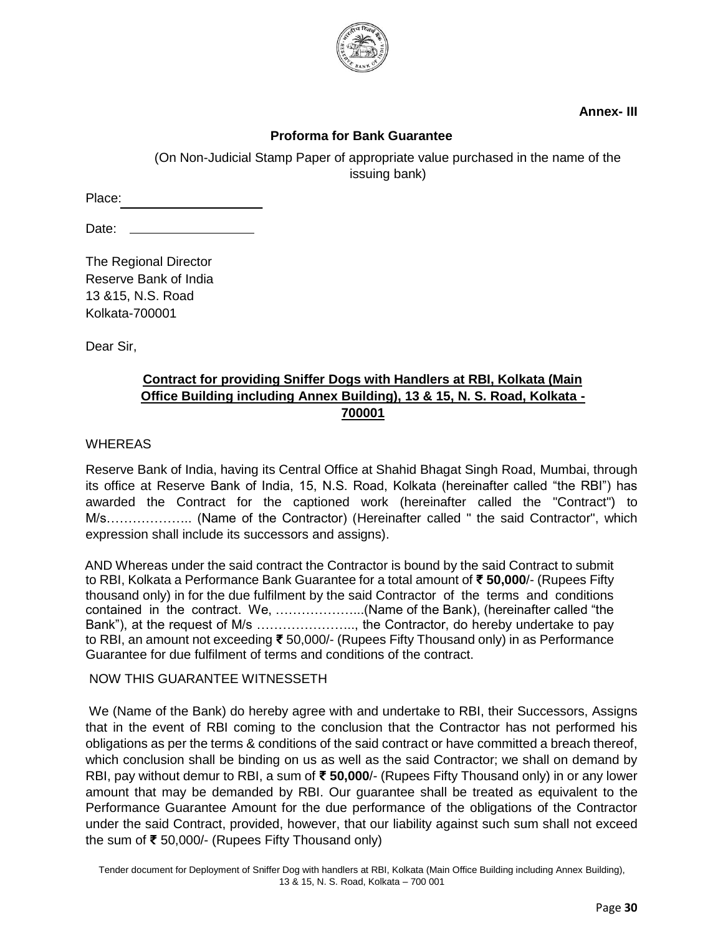

**Annex- III** 

### **Proforma for Bank Guarantee**

(On Non-Judicial Stamp Paper of appropriate value purchased in the name of the issuing bank)

Place:

Date: \_

The Regional Director Reserve Bank of India 13 &15, N.S. Road Kolkata-700001

Dear Sir,

## **Contract for providing Sniffer Dogs with Handlers at RBI, Kolkata (Main Office Building including Annex Building), 13 & 15, N. S. Road, Kolkata - 700001**

**WHEREAS** 

Reserve Bank of India, having its Central Office at Shahid Bhagat Singh Road, Mumbai, through its office at Reserve Bank of India, 15, N.S. Road, Kolkata (hereinafter called "the RBI") has awarded the Contract for the captioned work (hereinafter called the "Contract") to M/s……………….. (Name of the Contractor) (Hereinafter called " the said Contractor", which expression shall include its successors and assigns).

AND Whereas under the said contract the Contractor is bound by the said Contract to submit to RBI, Kolkata a Performance Bank Guarantee for a total amount of **₹ 50,000**/- (Rupees Fifty thousand only) in for the due fulfilment by the said Contractor of the terms and conditions contained in the contract. We, ………………...(Name of the Bank), (hereinafter called "the Bank"), at the request of M/s ………………….., the Contractor, do hereby undertake to pay to RBI, an amount not exceeding **₹** 50,000/- (Rupees Fifty Thousand only) in as Performance Guarantee for due fulfilment of terms and conditions of the contract.

#### NOW THIS GUARANTEE WITNESSETH

We (Name of the Bank) do hereby agree with and undertake to RBI, their Successors, Assigns that in the event of RBI coming to the conclusion that the Contractor has not performed his obligations as per the terms & conditions of the said contract or have committed a breach thereof, which conclusion shall be binding on us as well as the said Contractor; we shall on demand by RBI, pay without demur to RBI, a sum of **₹ 50,000**/- (Rupees Fifty Thousand only) in or any lower amount that may be demanded by RBI. Our guarantee shall be treated as equivalent to the Performance Guarantee Amount for the due performance of the obligations of the Contractor under the said Contract, provided, however, that our liability against such sum shall not exceed the sum of **₹** 50,000/- (Rupees Fifty Thousand only)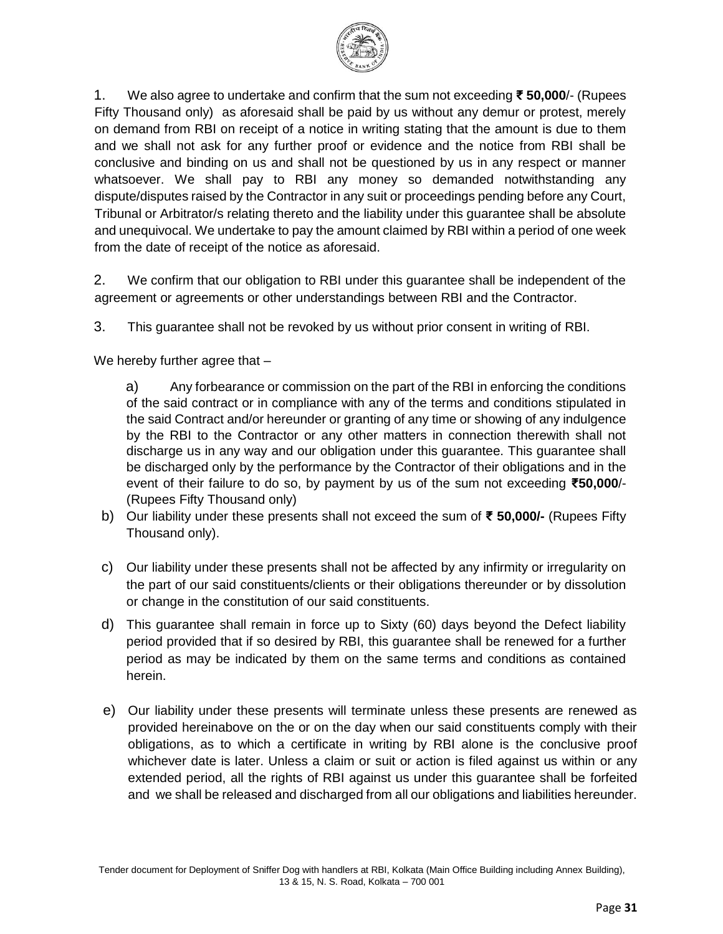

1. We also agree to undertake and confirm that the sum not exceeding **₹ 50,000**/- (Rupees Fifty Thousand only) as aforesaid shall be paid by us without any demur or protest, merely on demand from RBI on receipt of a notice in writing stating that the amount is due to them and we shall not ask for any further proof or evidence and the notice from RBI shall be conclusive and binding on us and shall not be questioned by us in any respect or manner whatsoever. We shall pay to RBI any money so demanded notwithstanding any dispute/disputes raised by the Contractor in any suit or proceedings pending before any Court, Tribunal or Arbitrator/s relating thereto and the liability under this guarantee shall be absolute and unequivocal. We undertake to pay the amount claimed by RBI within a period of one week from the date of receipt of the notice as aforesaid.

2. We confirm that our obligation to RBI under this guarantee shall be independent of the agreement or agreements or other understandings between RBI and the Contractor.

3. This guarantee shall not be revoked by us without prior consent in writing of RBI.

We hereby further agree that –

a) Any forbearance or commission on the part of the RBI in enforcing the conditions of the said contract or in compliance with any of the terms and conditions stipulated in the said Contract and/or hereunder or granting of any time or showing of any indulgence by the RBI to the Contractor or any other matters in connection therewith shall not discharge us in any way and our obligation under this guarantee. This guarantee shall be discharged only by the performance by the Contractor of their obligations and in the event of their failure to do so, by payment by us of the sum not exceeding **₹50,000**/- (Rupees Fifty Thousand only)

- b) Our liability under these presents shall not exceed the sum of **₹ 50,000/-** (Rupees Fifty Thousand only).
- c) Our liability under these presents shall not be affected by any infirmity or irregularity on the part of our said constituents/clients or their obligations thereunder or by dissolution or change in the constitution of our said constituents.
- d) This guarantee shall remain in force up to Sixty (60) days beyond the Defect liability period provided that if so desired by RBI, this guarantee shall be renewed for a further period as may be indicated by them on the same terms and conditions as contained herein.
- e) Our liability under these presents will terminate unless these presents are renewed as provided hereinabove on the or on the day when our said constituents comply with their obligations, as to which a certificate in writing by RBI alone is the conclusive proof whichever date is later. Unless a claim or suit or action is filed against us within or any extended period, all the rights of RBI against us under this guarantee shall be forfeited and we shall be released and discharged from all our obligations and liabilities hereunder.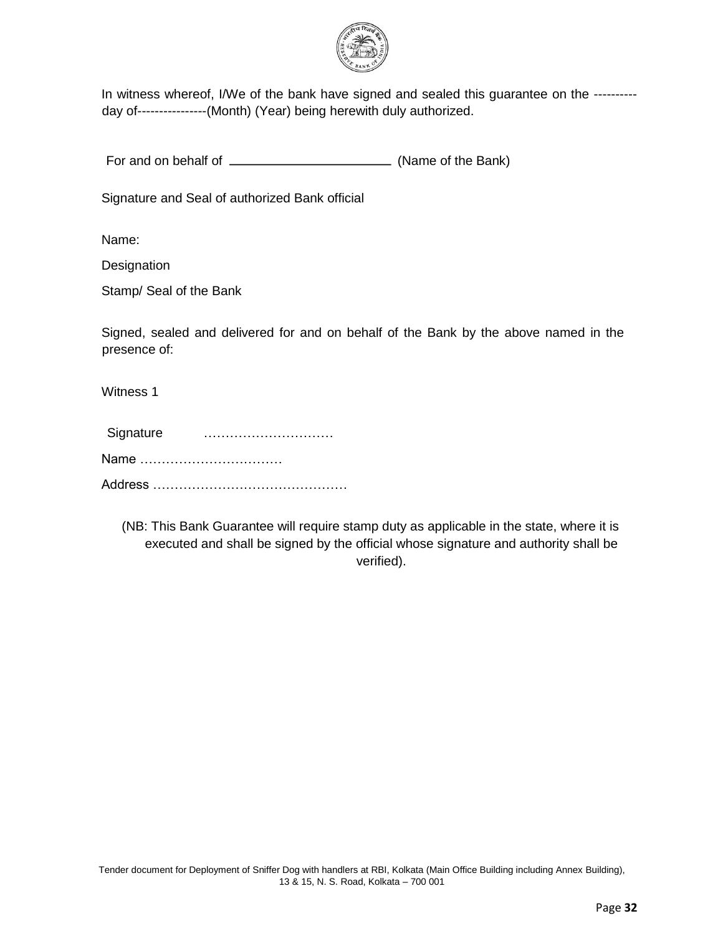

In witness whereof, I/We of the bank have signed and sealed this guarantee on the ---------day of----------------(Month) (Year) being herewith duly authorized.

For and on behalf of (Name of the Bank)

Signature and Seal of authorized Bank official

Name:

**Designation** 

Stamp/ Seal of the Bank

Signed, sealed and delivered for and on behalf of the Bank by the above named in the presence of:

Witness 1

| Signature |  |  |
|-----------|--|--|
| Name      |  |  |
|           |  |  |

(NB: This Bank Guarantee will require stamp duty as applicable in the state, where it is executed and shall be signed by the official whose signature and authority shall be verified).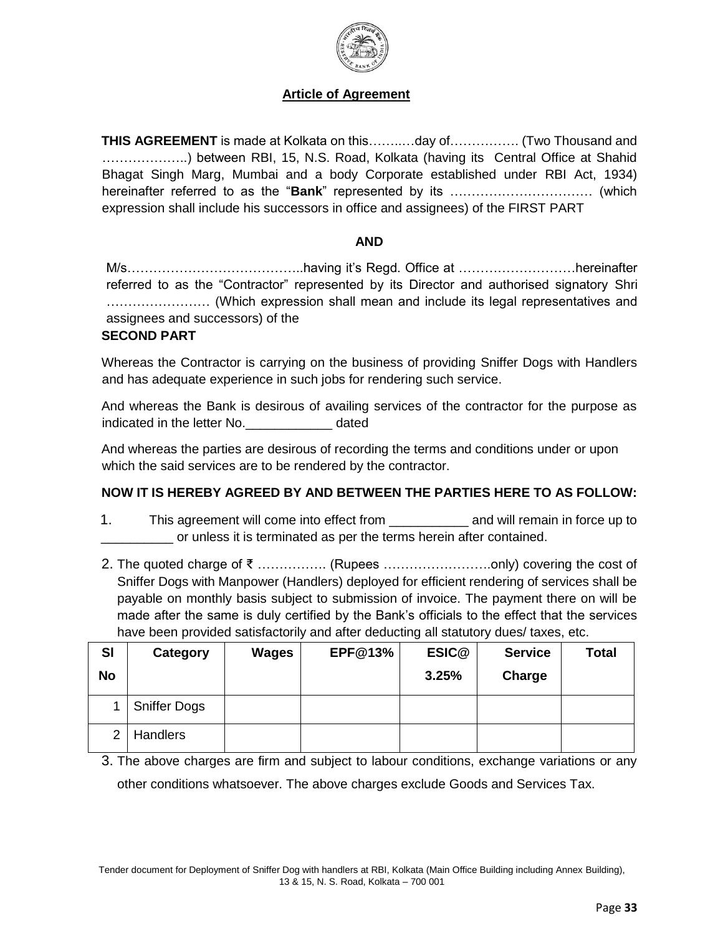

### **Article of Agreement**

**THIS AGREEMENT** is made at Kolkata on this……..…day of……………. (Two Thousand and ………………..) between RBI, 15, N.S. Road, Kolkata (having its Central Office at Shahid Bhagat Singh Marg, Mumbai and a body Corporate established under RBI Act, 1934) hereinafter referred to as the "**Bank**" represented by its …………………………… (which expression shall include his successors in office and assignees) of the FIRST PART

#### **AND**

M/s…………………………………..having it's Regd. Office at ………………………hereinafter referred to as the "Contractor" represented by its Director and authorised signatory Shri …………………… (Which expression shall mean and include its legal representatives and assignees and successors) of the

#### **SECOND PART**

Whereas the Contractor is carrying on the business of providing Sniffer Dogs with Handlers and has adequate experience in such jobs for rendering such service.

And whereas the Bank is desirous of availing services of the contractor for the purpose as indicated in the letter No. The stated in the letter No.

And whereas the parties are desirous of recording the terms and conditions under or upon which the said services are to be rendered by the contractor.

### **NOW IT IS HEREBY AGREED BY AND BETWEEN THE PARTIES HERE TO AS FOLLOW:**

- 1. This agreement will come into effect from The and will remain in force up to \_\_\_\_\_\_\_\_\_\_ or unless it is terminated as per the terms herein after contained.
- 2. The quoted charge of ₹ ……………. (Rupees …………………….only) covering the cost of Sniffer Dogs with Manpower (Handlers) deployed for efficient rendering of services shall be payable on monthly basis subject to submission of invoice. The payment there on will be made after the same is duly certified by the Bank's officials to the effect that the services have been provided satisfactorily and after deducting all statutory dues/ taxes, etc.

| <b>SI</b><br>No | Category            | <b>Wages</b> | <b>EPF@13%</b> | ESIC@<br>3.25% | <b>Service</b><br>Charge | <b>Total</b> |
|-----------------|---------------------|--------------|----------------|----------------|--------------------------|--------------|
|                 | <b>Sniffer Dogs</b> |              |                |                |                          |              |
| 2 <sub>1</sub>  | <b>Handlers</b>     |              |                |                |                          |              |

3. The above charges are firm and subject to labour conditions, exchange variations or any other conditions whatsoever. The above charges exclude Goods and Services Tax.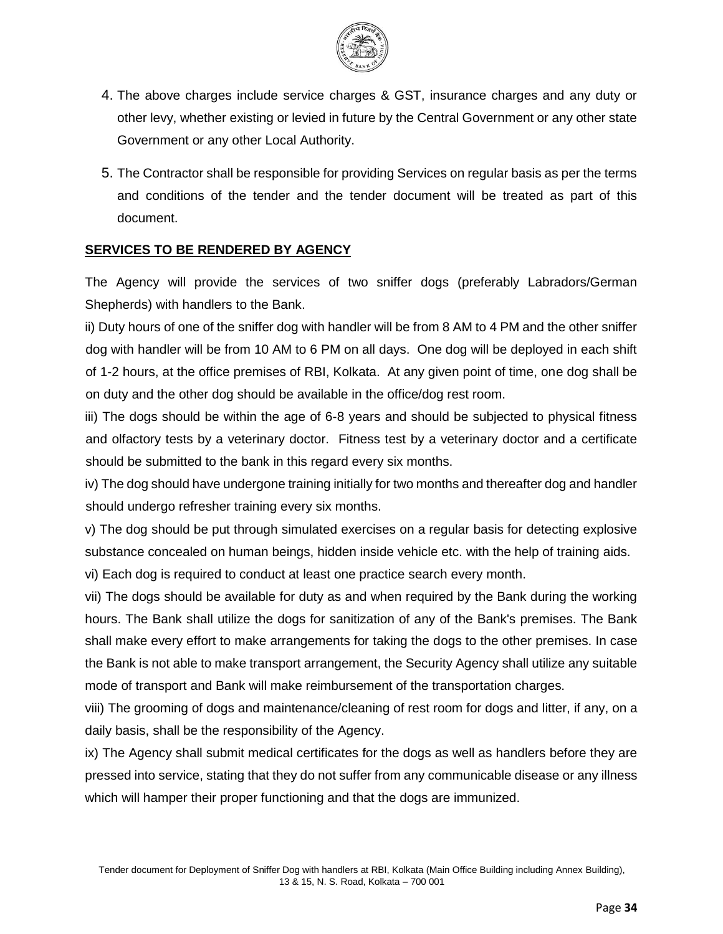

- 4. The above charges include service charges & GST, insurance charges and any duty or other levy, whether existing or levied in future by the Central Government or any other state Government or any other Local Authority.
- 5. The Contractor shall be responsible for providing Services on regular basis as per the terms and conditions of the tender and the tender document will be treated as part of this document.

### **SERVICES TO BE RENDERED BY AGENCY**

The Agency will provide the services of two sniffer dogs (preferably Labradors/German Shepherds) with handlers to the Bank.

ii) Duty hours of one of the sniffer dog with handler will be from 8 AM to 4 PM and the other sniffer dog with handler will be from 10 AM to 6 PM on all days. One dog will be deployed in each shift of 1-2 hours, at the office premises of RBI, Kolkata. At any given point of time, one dog shall be on duty and the other dog should be available in the office/dog rest room.

iii) The dogs should be within the age of 6-8 years and should be subjected to physical fitness and olfactory tests by a veterinary doctor. Fitness test by a veterinary doctor and a certificate should be submitted to the bank in this regard every six months.

iv) The dog should have undergone training initially for two months and thereafter dog and handler should undergo refresher training every six months.

v) The dog should be put through simulated exercises on a regular basis for detecting explosive substance concealed on human beings, hidden inside vehicle etc. with the help of training aids.

vi) Each dog is required to conduct at least one practice search every month.

vii) The dogs should be available for duty as and when required by the Bank during the working hours. The Bank shall utilize the dogs for sanitization of any of the Bank's premises. The Bank shall make every effort to make arrangements for taking the dogs to the other premises. In case the Bank is not able to make transport arrangement, the Security Agency shall utilize any suitable mode of transport and Bank will make reimbursement of the transportation charges.

viii) The grooming of dogs and maintenance/cleaning of rest room for dogs and litter, if any, on a daily basis, shall be the responsibility of the Agency.

ix) The Agency shall submit medical certificates for the dogs as well as handlers before they are pressed into service, stating that they do not suffer from any communicable disease or any illness which will hamper their proper functioning and that the dogs are immunized.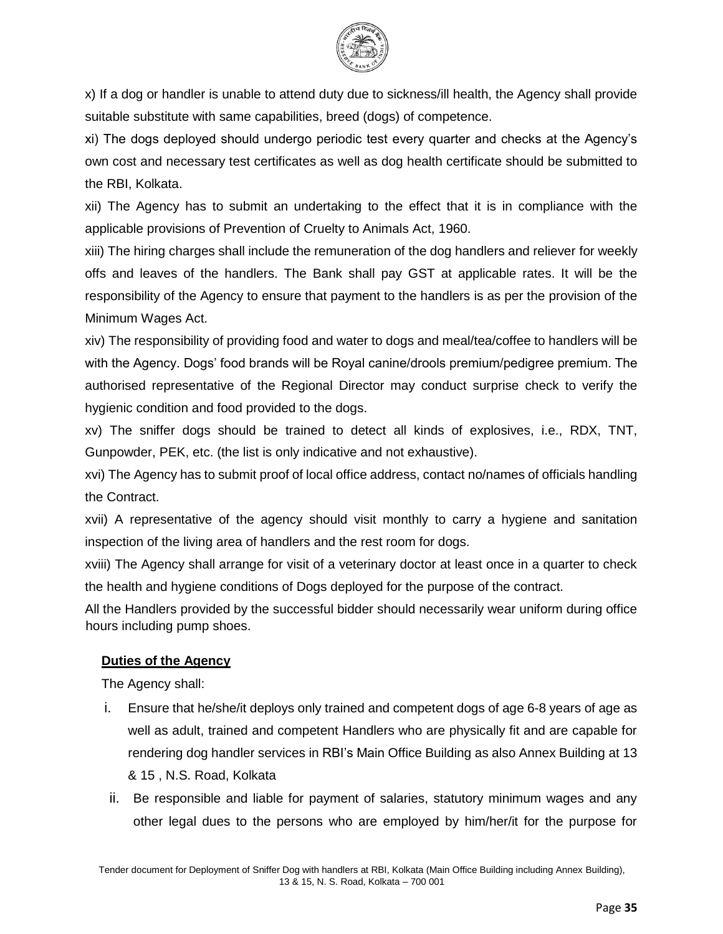

x) If a dog or handler is unable to attend duty due to sickness/ill health, the Agency shall provide suitable substitute with same capabilities, breed (dogs) of competence.

xi) The dogs deployed should undergo periodic test every quarter and checks at the Agency's own cost and necessary test certificates as well as dog health certificate should be submitted to the RBI, Kolkata.

xii) The Agency has to submit an undertaking to the effect that it is in compliance with the applicable provisions of Prevention of Cruelty to Animals Act, 1960.

xiii) The hiring charges shall include the remuneration of the dog handlers and reliever for weekly offs and leaves of the handlers. The Bank shall pay GST at applicable rates. It will be the responsibility of the Agency to ensure that payment to the handlers is as per the provision of the Minimum Wages Act.

xiv) The responsibility of providing food and water to dogs and meal/tea/coffee to handlers will be with the Agency. Dogs' food brands will be Royal canine/drools premium/pedigree premium. The authorised representative of the Regional Director may conduct surprise check to verify the hygienic condition and food provided to the dogs.

xv) The sniffer dogs should be trained to detect all kinds of explosives, i.e., RDX, TNT, Gunpowder, PEK, etc. (the list is only indicative and not exhaustive).

xvi) The Agency has to submit proof of local office address, contact no/names of officials handling the Contract.

xvii) A representative of the agency should visit monthly to carry a hygiene and sanitation inspection of the living area of handlers and the rest room for dogs.

xviii) The Agency shall arrange for visit of a veterinary doctor at least once in a quarter to check the health and hygiene conditions of Dogs deployed for the purpose of the contract.

All the Handlers provided by the successful bidder should necessarily wear uniform during office hours including pump shoes.

## **Duties of the Agency**

The Agency shall:

- i. Ensure that he/she/it deploys only trained and competent dogs of age 6-8 years of age as well as adult, trained and competent Handlers who are physically fit and are capable for rendering dog handler services in RBI's Main Office Building as also Annex Building at 13 & 15 , N.S. Road, Kolkata
- ii. Be responsible and liable for payment of salaries, statutory minimum wages and any other legal dues to the persons who are employed by him/her/it for the purpose for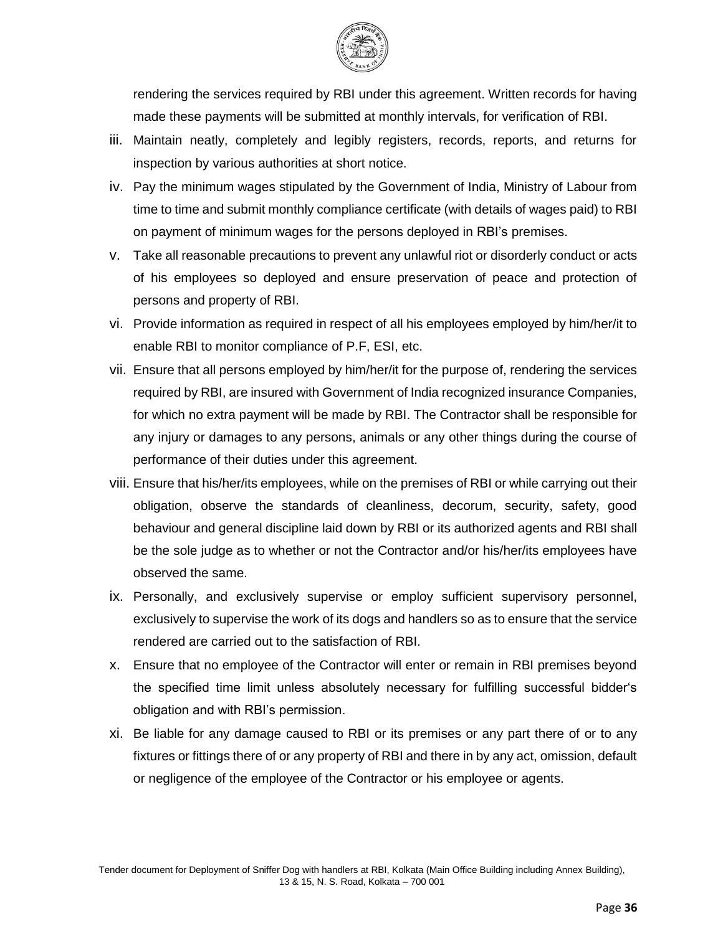

rendering the services required by RBI under this agreement. Written records for having made these payments will be submitted at monthly intervals, for verification of RBI.

- iii. Maintain neatly, completely and legibly registers, records, reports, and returns for inspection by various authorities at short notice.
- iv. Pay the minimum wages stipulated by the Government of India, Ministry of Labour from time to time and submit monthly compliance certificate (with details of wages paid) to RBI on payment of minimum wages for the persons deployed in RBI's premises.
- v. Take all reasonable precautions to prevent any unlawful riot or disorderly conduct or acts of his employees so deployed and ensure preservation of peace and protection of persons and property of RBI.
- vi. Provide information as required in respect of all his employees employed by him/her/it to enable RBI to monitor compliance of P.F, ESI, etc.
- vii. Ensure that all persons employed by him/her/it for the purpose of, rendering the services required by RBI, are insured with Government of India recognized insurance Companies, for which no extra payment will be made by RBI. The Contractor shall be responsible for any injury or damages to any persons, animals or any other things during the course of performance of their duties under this agreement.
- viii. Ensure that his/her/its employees, while on the premises of RBI or while carrying out their obligation, observe the standards of cleanliness, decorum, security, safety, good behaviour and general discipline laid down by RBI or its authorized agents and RBI shall be the sole judge as to whether or not the Contractor and/or his/her/its employees have observed the same.
- ix. Personally, and exclusively supervise or employ sufficient supervisory personnel, exclusively to supervise the work of its dogs and handlers so as to ensure that the service rendered are carried out to the satisfaction of RBI.
- x. Ensure that no employee of the Contractor will enter or remain in RBI premises beyond the specified time limit unless absolutely necessary for fulfilling successful bidder's obligation and with RBI's permission.
- xi. Be liable for any damage caused to RBI or its premises or any part there of or to any fixtures or fittings there of or any property of RBI and there in by any act, omission, default or negligence of the employee of the Contractor or his employee or agents.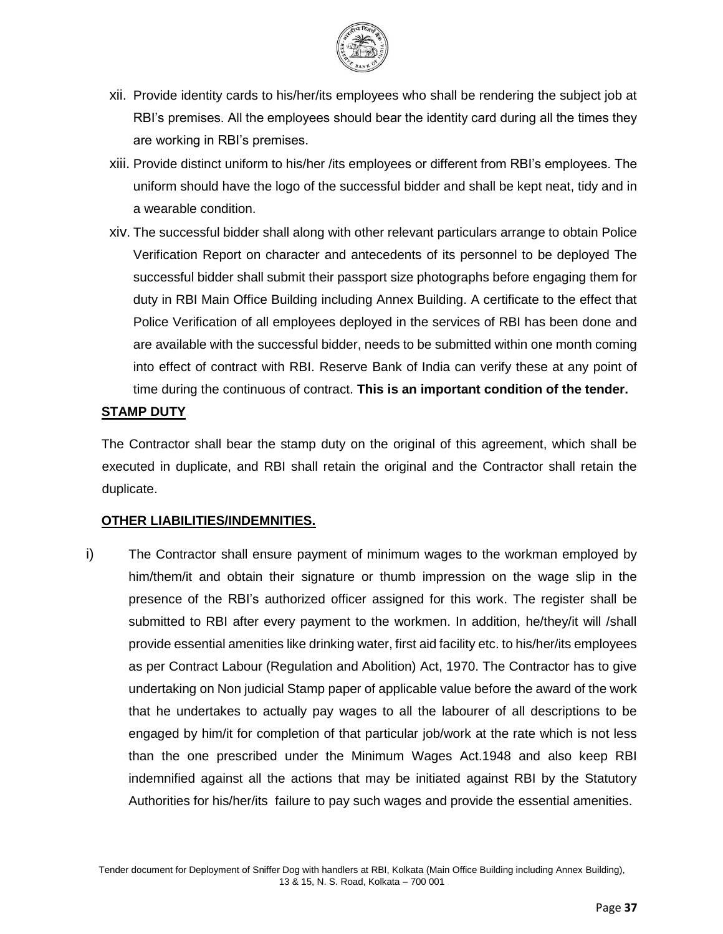

- xii. Provide identity cards to his/her/its employees who shall be rendering the subject job at RBI's premises. All the employees should bear the identity card during all the times they are working in RBI's premises.
- xiii. Provide distinct uniform to his/her /its employees or different from RBI's employees. The uniform should have the logo of the successful bidder and shall be kept neat, tidy and in a wearable condition.
- xiv. The successful bidder shall along with other relevant particulars arrange to obtain Police Verification Report on character and antecedents of its personnel to be deployed The successful bidder shall submit their passport size photographs before engaging them for duty in RBI Main Office Building including Annex Building. A certificate to the effect that Police Verification of all employees deployed in the services of RBI has been done and are available with the successful bidder, needs to be submitted within one month coming into effect of contract with RBI. Reserve Bank of India can verify these at any point of time during the continuous of contract. **This is an important condition of the tender.**

#### **STAMP DUTY**

The Contractor shall bear the stamp duty on the original of this agreement, which shall be executed in duplicate, and RBI shall retain the original and the Contractor shall retain the duplicate.

#### **OTHER LIABILITIES/INDEMNITIES.**

i) The Contractor shall ensure payment of minimum wages to the workman employed by him/them/it and obtain their signature or thumb impression on the wage slip in the presence of the RBI's authorized officer assigned for this work. The register shall be submitted to RBI after every payment to the workmen. In addition, he/they/it will /shall provide essential amenities like drinking water, first aid facility etc. to his/her/its employees as per Contract Labour (Regulation and Abolition) Act, 1970. The Contractor has to give undertaking on Non judicial Stamp paper of applicable value before the award of the work that he undertakes to actually pay wages to all the labourer of all descriptions to be engaged by him/it for completion of that particular job/work at the rate which is not less than the one prescribed under the Minimum Wages Act.1948 and also keep RBI indemnified against all the actions that may be initiated against RBI by the Statutory Authorities for his/her/its failure to pay such wages and provide the essential amenities.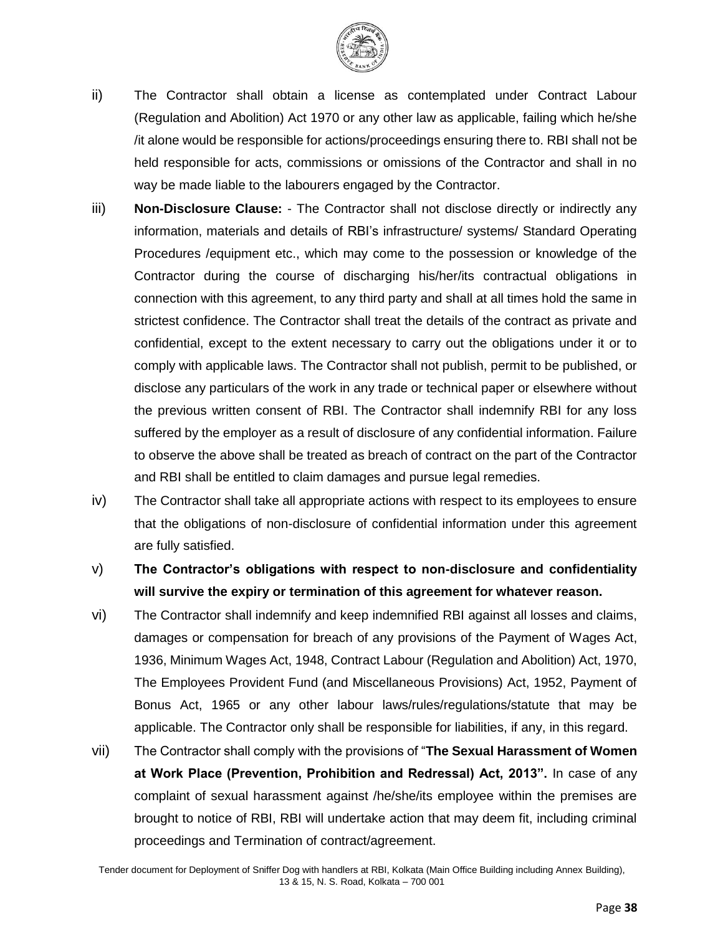

- ii) The Contractor shall obtain a license as contemplated under Contract Labour (Regulation and Abolition) Act 1970 or any other law as applicable, failing which he/she /it alone would be responsible for actions/proceedings ensuring there to. RBI shall not be held responsible for acts, commissions or omissions of the Contractor and shall in no way be made liable to the labourers engaged by the Contractor.
- iii) **Non-Disclosure Clause:** The Contractor shall not disclose directly or indirectly any information, materials and details of RBI's infrastructure/ systems/ Standard Operating Procedures /equipment etc., which may come to the possession or knowledge of the Contractor during the course of discharging his/her/its contractual obligations in connection with this agreement, to any third party and shall at all times hold the same in strictest confidence. The Contractor shall treat the details of the contract as private and confidential, except to the extent necessary to carry out the obligations under it or to comply with applicable laws. The Contractor shall not publish, permit to be published, or disclose any particulars of the work in any trade or technical paper or elsewhere without the previous written consent of RBI. The Contractor shall indemnify RBI for any loss suffered by the employer as a result of disclosure of any confidential information. Failure to observe the above shall be treated as breach of contract on the part of the Contractor and RBI shall be entitled to claim damages and pursue legal remedies.
- iv) The Contractor shall take all appropriate actions with respect to its employees to ensure that the obligations of non-disclosure of confidential information under this agreement are fully satisfied.
- v) **The Contractor's obligations with respect to non-disclosure and confidentiality will survive the expiry or termination of this agreement for whatever reason.**
- vi) The Contractor shall indemnify and keep indemnified RBI against all losses and claims, damages or compensation for breach of any provisions of the Payment of Wages Act, 1936, Minimum Wages Act, 1948, Contract Labour (Regulation and Abolition) Act, 1970, The Employees Provident Fund (and Miscellaneous Provisions) Act, 1952, Payment of Bonus Act, 1965 or any other labour laws/rules/regulations/statute that may be applicable. The Contractor only shall be responsible for liabilities, if any, in this regard.
- vii) The Contractor shall comply with the provisions of "**The Sexual Harassment of Women at Work Place (Prevention, Prohibition and Redressal) Act, 2013".** In case of any complaint of sexual harassment against /he/she/its employee within the premises are brought to notice of RBI, RBI will undertake action that may deem fit, including criminal proceedings and Termination of contract/agreement.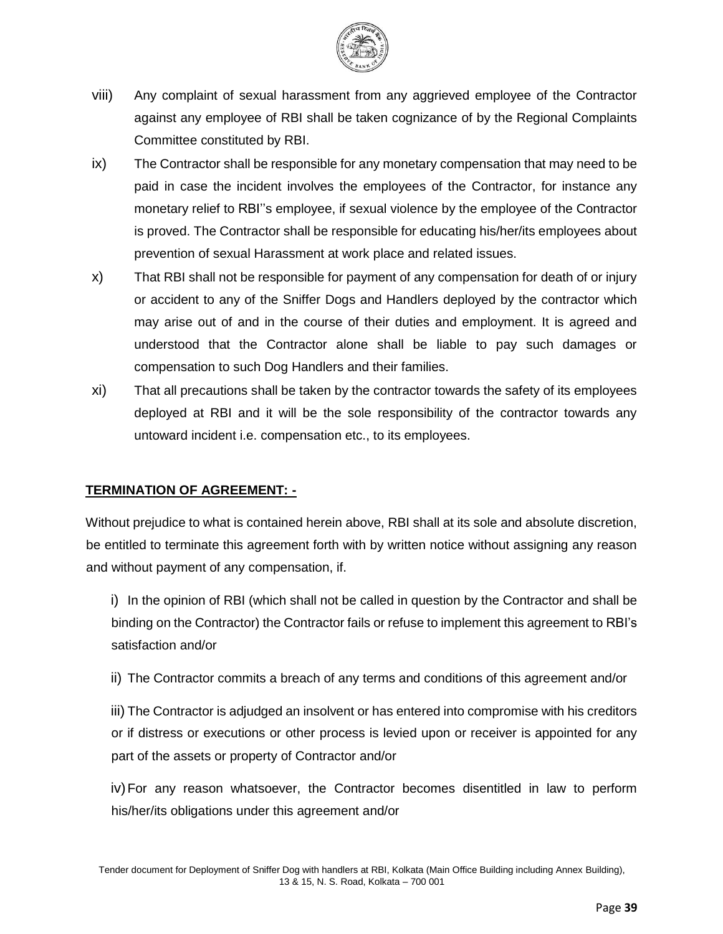

- viii) Any complaint of sexual harassment from any aggrieved employee of the Contractor against any employee of RBI shall be taken cognizance of by the Regional Complaints Committee constituted by RBI.
- ix) The Contractor shall be responsible for any monetary compensation that may need to be paid in case the incident involves the employees of the Contractor, for instance any monetary relief to RBI''s employee, if sexual violence by the employee of the Contractor is proved. The Contractor shall be responsible for educating his/her/its employees about prevention of sexual Harassment at work place and related issues.
- x) That RBI shall not be responsible for payment of any compensation for death of or injury or accident to any of the Sniffer Dogs and Handlers deployed by the contractor which may arise out of and in the course of their duties and employment. It is agreed and understood that the Contractor alone shall be liable to pay such damages or compensation to such Dog Handlers and their families.
- xi) That all precautions shall be taken by the contractor towards the safety of its employees deployed at RBI and it will be the sole responsibility of the contractor towards any untoward incident i.e. compensation etc., to its employees.

## **TERMINATION OF AGREEMENT: -**

Without prejudice to what is contained herein above, RBI shall at its sole and absolute discretion, be entitled to terminate this agreement forth with by written notice without assigning any reason and without payment of any compensation, if.

i) In the opinion of RBI (which shall not be called in question by the Contractor and shall be binding on the Contractor) the Contractor fails or refuse to implement this agreement to RBI's satisfaction and/or

ii) The Contractor commits a breach of any terms and conditions of this agreement and/or

iii) The Contractor is adjudged an insolvent or has entered into compromise with his creditors or if distress or executions or other process is levied upon or receiver is appointed for any part of the assets or property of Contractor and/or

iv)For any reason whatsoever, the Contractor becomes disentitled in law to perform his/her/its obligations under this agreement and/or